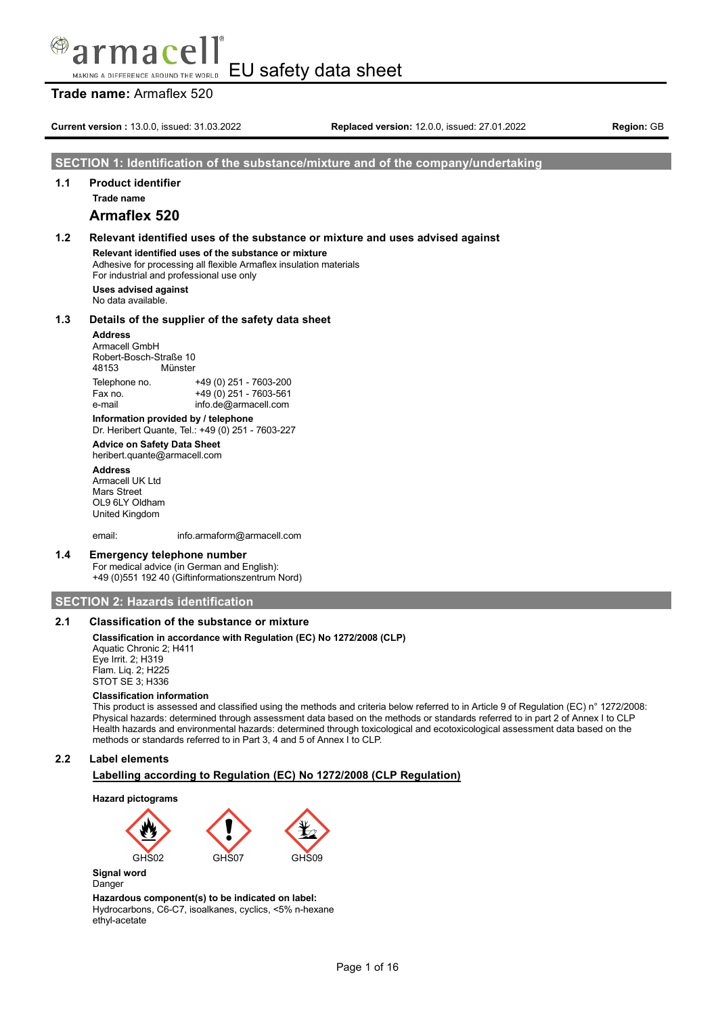#### EU safety data sheet MAKING A DIFFERENCE AROUND THE WORLD

## **Trade name:** Armaflex 520

**Current version :** 13.0.0, issued: 31.03.2022 **Replaced version:** 12.0.0, issued: 27.01.2022 **Region:** GB

## **SECTION 1: Identification of the substance/mixture and of the company/undertaking**

## **1.1 Product identifier**

**Trade name**

## **Armaflex 520**

# **1.2 Relevant identified uses of the substance or mixture and uses advised against**

**Relevant identified uses of the substance or mixture** Adhesive for processing all flexible Armaflex insulation materials For industrial and professional use only

**Uses advised against** No data available.

### **1.3 Details of the supplier of the safety data sheet**

**Address**

Armacell GmbH Robert-Bosch-Straße 10<br>48153 Münster Münster Telephone no. +49 (0) 251 - 7603-200

Fax no. +49 (0) 251 - 7603-561 e-mail info.de@armacell.com

**Information provided by / telephone** Dr. Heribert Quante, Tel.: +49 (0) 251 - 7603-227

### **Advice on Safety Data Sheet** heribert.quante@armacell.com

**Address**

Armacell UK Ltd Mars Street OL9 6LY Oldham United Kingdom

email: info.armaform@armacell.com

## **1.4 Emergency telephone number**

For medical advice (in German and English): +49 (0)551 192 40 (Giftinformationszentrum Nord)

## **SECTION 2: Hazards identification**

## **2.1 Classification of the substance or mixture**

## **Classification in accordance with Regulation (EC) No 1272/2008 (CLP)**

Aquatic Chronic 2; H411 Eye Irrit. 2; H319 Flam. Liq. 2; H225 STOT SE 3; H336

### **Classification information**

This product is assessed and classified using the methods and criteria below referred to in Article 9 of Regulation (EC) n° 1272/2008: Physical hazards: determined through assessment data based on the methods or standards referred to in part 2 of Annex I to CLP Health hazards and environmental hazards: determined through toxicological and ecotoxicological assessment data based on the methods or standards referred to in Part 3, 4 and 5 of Annex I to CLP.

## **2.2 Label elements**

## **Labelling according to Regulation (EC) No 1272/2008 (CLP Regulation)**

**Hazard pictograms**



Danger

**Hazardous component(s) to be indicated on label:** Hydrocarbons, C6-C7, isoalkanes, cyclics, <5% n-hexane ethyl-acetate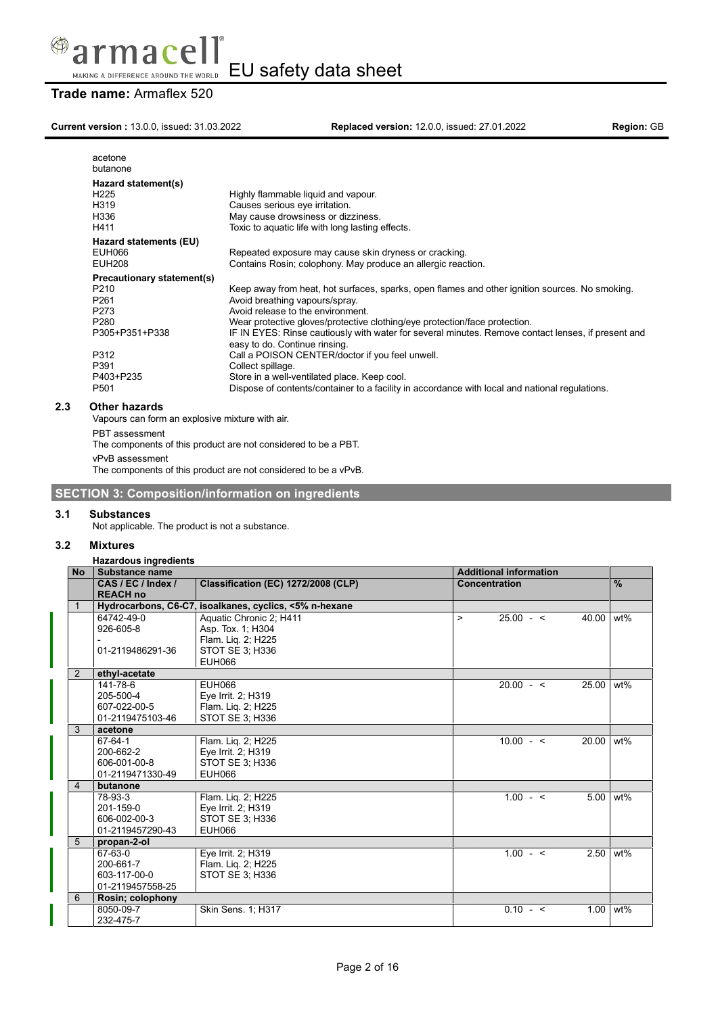

## **Trade name:** Armaflex 520

**Current version :** 13.0.0, issued: 31.03.2022 **Replaced version:** 12.0.0, issued: 27.01.2022 **Region:** GB

| acetone<br>butanone        |                                                                                                                                     |
|----------------------------|-------------------------------------------------------------------------------------------------------------------------------------|
| Hazard statement(s)        |                                                                                                                                     |
| H <sub>225</sub>           | Highly flammable liquid and vapour.                                                                                                 |
| H319                       | Causes serious eye irritation.                                                                                                      |
| H336                       | May cause drowsiness or dizziness.                                                                                                  |
| H411                       | Toxic to aquatic life with long lasting effects.                                                                                    |
| Hazard statements (EU)     |                                                                                                                                     |
| EUH066                     | Repeated exposure may cause skin dryness or cracking.                                                                               |
| <b>EUH208</b>              | Contains Rosin; colophony. May produce an allergic reaction.                                                                        |
| Precautionary statement(s) |                                                                                                                                     |
| P <sub>210</sub>           | Keep away from heat, hot surfaces, sparks, open flames and other ignition sources. No smoking.                                      |
| P <sub>261</sub>           | Avoid breathing vapours/spray.                                                                                                      |
| P273                       | Avoid release to the environment.                                                                                                   |
| P <sub>280</sub>           | Wear protective gloves/protective clothing/eye protection/face protection.                                                          |
| P305+P351+P338             | IF IN EYES: Rinse cautiously with water for several minutes. Remove contact lenses, if present and<br>easy to do. Continue rinsing. |
| P312                       | Call a POISON CENTER/doctor if you feel unwell.                                                                                     |
| P391                       | Collect spillage.                                                                                                                   |
| P403+P235                  | Store in a well-ventilated place. Keep cool.                                                                                        |
| P <sub>501</sub>           | Dispose of contents/container to a facility in accordance with local and national regulations.                                      |
|                            |                                                                                                                                     |

## **2.3 Other hazards**

Vapours can form an explosive mixture with air.

```
PBT assessment
```
The components of this product are not considered to be a PBT.

vPvB assessment

The components of this product are not considered to be a vPvB.

# **SECTION 3: Composition/information on ingredients**

## **3.1 Substances**

Not applicable. The product is not a substance.

## **3.2 Mixtures**

## **Hazardous ingredients**

| <b>No</b>      | Substance name     |                                                        |              | <b>Additional information</b> |       |               |
|----------------|--------------------|--------------------------------------------------------|--------------|-------------------------------|-------|---------------|
|                | CAS / EC / Index / | Classification (EC) 1272/2008 (CLP)                    |              | Concentration                 |       | $\frac{9}{6}$ |
|                | <b>REACH no</b>    |                                                        |              |                               |       |               |
|                |                    | Hydrocarbons, C6-C7, isoalkanes, cyclics, <5% n-hexane |              |                               |       |               |
|                | 64742-49-0         | Aquatic Chronic 2; H411                                | $\mathbf{L}$ | $25.00 - 5$                   | 40.00 | wt%           |
|                | 926-605-8          | Asp. Tox. 1; H304                                      |              |                               |       |               |
|                |                    | Flam. Liq. 2; H225                                     |              |                               |       |               |
|                | 01-2119486291-36   | STOT SE 3: H336                                        |              |                               |       |               |
|                |                    | <b>EUH066</b>                                          |              |                               |       |               |
| $\overline{2}$ | ethyl-acetate      |                                                        |              |                               |       |               |
|                | 141-78-6           | <b>EUH066</b>                                          |              | $20.00 - 5$                   | 25.00 | $wt\%$        |
|                | 205-500-4          | Eye Irrit. 2; H319                                     |              |                               |       |               |
|                | 607-022-00-5       | Flam. Lig. 2; H225                                     |              |                               |       |               |
|                | 01-2119475103-46   | STOT SE 3; H336                                        |              |                               |       |               |
| 3              | acetone            |                                                        |              |                               |       |               |
|                | 67-64-1            | Flam. Liq. 2; H225                                     |              | $10.00 - 5$                   | 20.00 | wt%           |
|                | 200-662-2          | Eye Irrit. 2; H319                                     |              |                               |       |               |
|                | 606-001-00-8       | STOT SE 3: H336                                        |              |                               |       |               |
|                | 01-2119471330-49   | EUH066                                                 |              |                               |       |               |
| $\overline{4}$ | butanone           |                                                        |              |                               |       |               |
|                | 78-93-3            | Flam. Lig. 2; H225                                     |              | $1.00 - 5$                    | 5.00  | wt%           |
|                | 201-159-0          | Eye Irrit. 2; H319                                     |              |                               |       |               |
|                | 606-002-00-3       | STOT SE 3: H336                                        |              |                               |       |               |
|                | 01-2119457290-43   | <b>EUH066</b>                                          |              |                               |       |               |
| 5              | propan-2-ol        |                                                        |              |                               |       |               |
|                | 67-63-0            | Eye Irrit. 2; H319                                     |              | $1.00 - 5$                    | 2.50  | wt%           |
|                | 200-661-7          | Flam. Lig. 2; H225                                     |              |                               |       |               |
|                | 603-117-00-0       | STOT SE 3; H336                                        |              |                               |       |               |
|                | 01-2119457558-25   |                                                        |              |                               |       |               |
| 6              | Rosin; colophony   |                                                        |              |                               |       |               |
|                | 8050-09-7          | Skin Sens. 1; H317                                     |              | $0.10 - 5$                    | 1.00  | wt%           |
|                | 232-475-7          |                                                        |              |                               |       |               |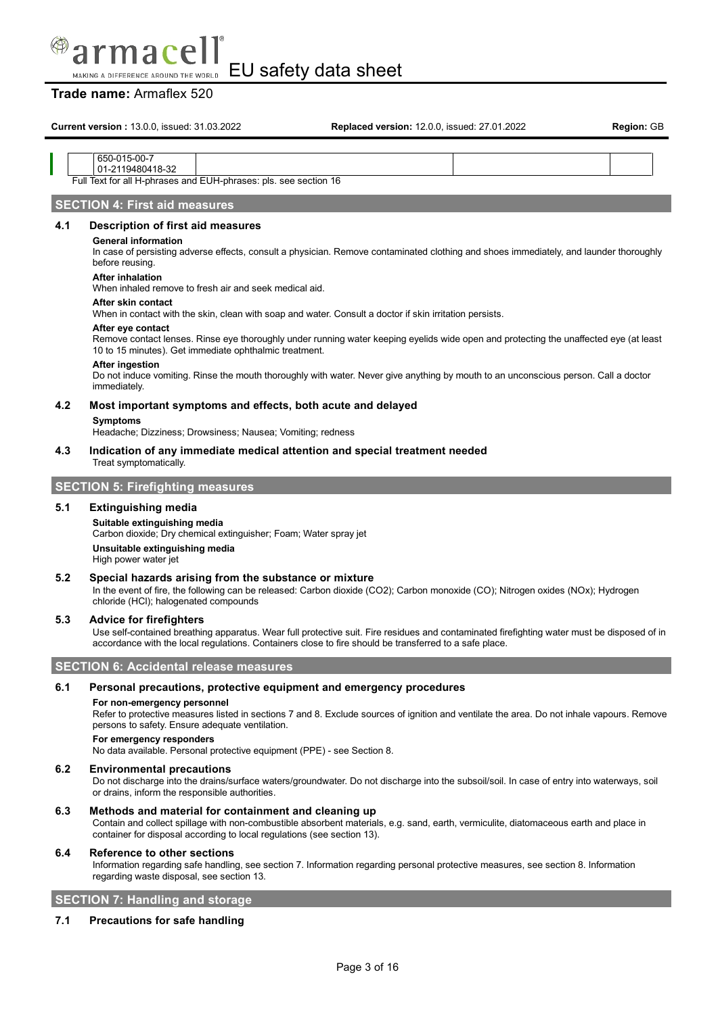

## **Trade name:** Armaflex 520

**Current version :** 13.0.0, issued: 31.03.2022 **Replaced version:** 12.0.0, issued: 27.01.2022 **Region:** GB

### 650-015-00-7 01-2119480418-32

Full Text for all H-phrases and EUH-phrases: pls. see section 16

## **SECTION 4: First aid measures**

## **4.1 Description of first aid measures**

## **General information**

In case of persisting adverse effects, consult a physician. Remove contaminated clothing and shoes immediately, and launder thoroughly before reusing.

### **After inhalation**

When inhaled remove to fresh air and seek medical aid.

### **After skin contact**

When in contact with the skin, clean with soap and water. Consult a doctor if skin irritation persists.

## **After eye contact**

Remove contact lenses. Rinse eye thoroughly under running water keeping eyelids wide open and protecting the unaffected eye (at least 10 to 15 minutes). Get immediate ophthalmic treatment.

#### **After ingestion**

Do not induce vomiting. Rinse the mouth thoroughly with water. Never give anything by mouth to an unconscious person. Call a doctor immediately.

## **4.2 Most important symptoms and effects, both acute and delayed**

### **Symptoms**

Headache; Dizziness; Drowsiness; Nausea; Vomiting; redness

#### **4.3 Indication of any immediate medical attention and special treatment needed** Treat symptomatically.

# **SECTION 5: Firefighting measures**

## **5.1 Extinguishing media**

## **Suitable extinguishing media** Carbon dioxide; Dry chemical extinguisher; Foam; Water spray jet **Unsuitable extinguishing media** High power water jet

## **5.2 Special hazards arising from the substance or mixture**

In the event of fire, the following can be released: Carbon dioxide (CO2); Carbon monoxide (CO); Nitrogen oxides (NOx); Hydrogen chloride (HCl); halogenated compounds

## **5.3 Advice for firefighters**

Use self-contained breathing apparatus. Wear full protective suit. Fire residues and contaminated firefighting water must be disposed of in accordance with the local regulations. Containers close to fire should be transferred to a safe place.

## **SECTION 6: Accidental release measures**

### **6.1 Personal precautions, protective equipment and emergency procedures**

### **For non-emergency personnel**

Refer to protective measures listed in sections 7 and 8. Exclude sources of ignition and ventilate the area. Do not inhale vapours. Remove persons to safety. Ensure adequate ventilation.

#### **For emergency responders**

No data available. Personal protective equipment (PPE) - see Section 8.

### **6.2 Environmental precautions**

Do not discharge into the drains/surface waters/groundwater. Do not discharge into the subsoil/soil. In case of entry into waterways, soil or drains, inform the responsible authorities.

## **6.3 Methods and material for containment and cleaning up**

Contain and collect spillage with non-combustible absorbent materials, e.g. sand, earth, vermiculite, diatomaceous earth and place in container for disposal according to local regulations (see section 13).

### **6.4 Reference to other sections**

Information regarding safe handling, see section 7. Information regarding personal protective measures, see section 8. Information regarding waste disposal, see section 13.

## **SECTION 7: Handling and storage**

## **7.1 Precautions for safe handling**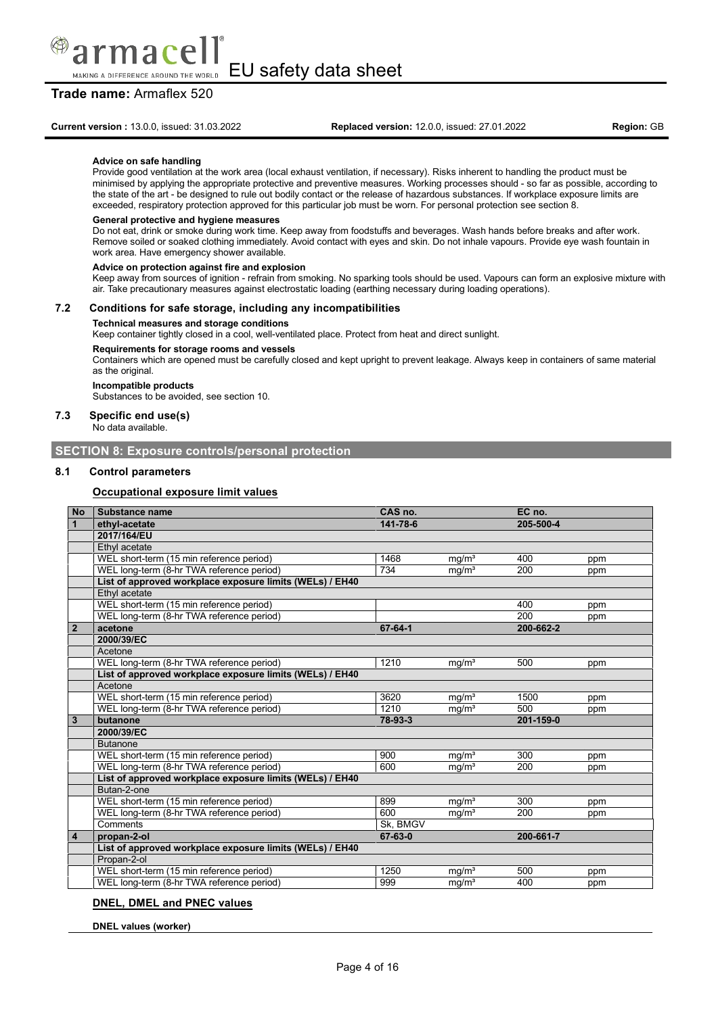

## **Trade name:** Armaflex 520

nare

#### **Advice on safe handling**

Provide good ventilation at the work area (local exhaust ventilation, if necessary). Risks inherent to handling the product must be minimised by applying the appropriate protective and preventive measures. Working processes should - so far as possible, according to the state of the art - be designed to rule out bodily contact or the release of hazardous substances. If workplace exposure limits are exceeded, respiratory protection approved for this particular job must be worn. For personal protection see section 8.

### **General protective and hygiene measures**

Do not eat, drink or smoke during work time. Keep away from foodstuffs and beverages. Wash hands before breaks and after work. Remove soiled or soaked clothing immediately. Avoid contact with eyes and skin. Do not inhale vapours. Provide eye wash fountain in work area. Have emergency shower available.

#### **Advice on protection against fire and explosion**

Keep away from sources of ignition - refrain from smoking. No sparking tools should be used. Vapours can form an explosive mixture with air. Take precautionary measures against electrostatic loading (earthing necessary during loading operations).

### **7.2 Conditions for safe storage, including any incompatibilities**

### **Technical measures and storage conditions**

Keep container tightly closed in a cool, well-ventilated place. Protect from heat and direct sunlight.

### **Requirements for storage rooms and vessels**

Containers which are opened must be carefully closed and kept upright to prevent leakage. Always keep in containers of same material as the original.

#### **Incompatible products** Substances to be avoided, see section 10.

## **7.3 Specific end use(s)**

No data available.

## **SECTION 8: Exposure controls/personal protection**

## **8.1 Control parameters**

## **Occupational exposure limit values**

| <b>No</b>      | Substance name                                           | CAS no.  |                   | EC no.           |     |
|----------------|----------------------------------------------------------|----------|-------------------|------------------|-----|
|                | ethyl-acetate                                            | 141-78-6 |                   | 205-500-4        |     |
|                | 2017/164/EU                                              |          |                   |                  |     |
|                | Ethyl acetate                                            |          |                   |                  |     |
|                | WEL short-term (15 min reference period)                 | 1468     | mq/m <sup>3</sup> | 400              | ppm |
|                | WEL long-term (8-hr TWA reference period)                | 734      | $mg/m^3$          | 200              | ppm |
|                | List of approved workplace exposure limits (WELs) / EH40 |          |                   |                  |     |
|                | Ethyl acetate                                            |          |                   |                  |     |
|                | WEL short-term (15 min reference period)                 |          |                   | 400              | ppm |
|                | WEL long-term (8-hr TWA reference period)                |          |                   | $\overline{200}$ | ppm |
| $\overline{2}$ | acetone                                                  | 67-64-1  |                   | 200-662-2        |     |
|                | 2000/39/EC                                               |          |                   |                  |     |
|                | Acetone                                                  |          |                   |                  |     |
|                | WEL long-term (8-hr TWA reference period)                | 1210     | mq/m <sup>3</sup> | 500              | ppm |
|                | List of approved workplace exposure limits (WELs) / EH40 |          |                   |                  |     |
|                | Acetone                                                  |          |                   |                  |     |
|                | WEL short-term (15 min reference period)                 | 3620     | mq/m <sup>3</sup> | 1500             | ppm |
|                | WEL long-term (8-hr TWA reference period)                | 1210     | mg/m <sup>3</sup> | 500              | ppm |
| 3              | butanone                                                 | 78-93-3  |                   | 201-159-0        |     |
|                | 2000/39/EC                                               |          |                   |                  |     |
|                | <b>Butanone</b>                                          |          |                   |                  |     |
|                | WEL short-term (15 min reference period)                 | 900      | mq/m <sup>3</sup> | 300              | ppm |
|                | WEL long-term (8-hr TWA reference period)                | 600      | mg/m <sup>3</sup> | 200              | ppm |
|                | List of approved workplace exposure limits (WELs) / EH40 |          |                   |                  |     |
|                | Butan-2-one                                              |          |                   |                  |     |
|                | WEL short-term (15 min reference period)                 | 899      | mq/m <sup>3</sup> | 300              | ppm |
|                | WEL long-term (8-hr TWA reference period)                | 600      | mg/m <sup>3</sup> | 200              | ppm |
|                | Comments                                                 | Sk, BMGV |                   |                  |     |
| 4              | propan-2-ol                                              | 67-63-0  |                   | 200-661-7        |     |
|                | List of approved workplace exposure limits (WELs) / EH40 |          |                   |                  |     |
|                | Propan-2-ol                                              |          |                   |                  |     |
|                | WEL short-term (15 min reference period)                 | 1250     | mq/m <sup>3</sup> | 500              | ppm |
|                | WEL long-term (8-hr TWA reference period)                | 999      | mq/m <sup>3</sup> | 400              | ppm |

### **DNEL, DMEL and PNEC values**

**DNEL values (worker)**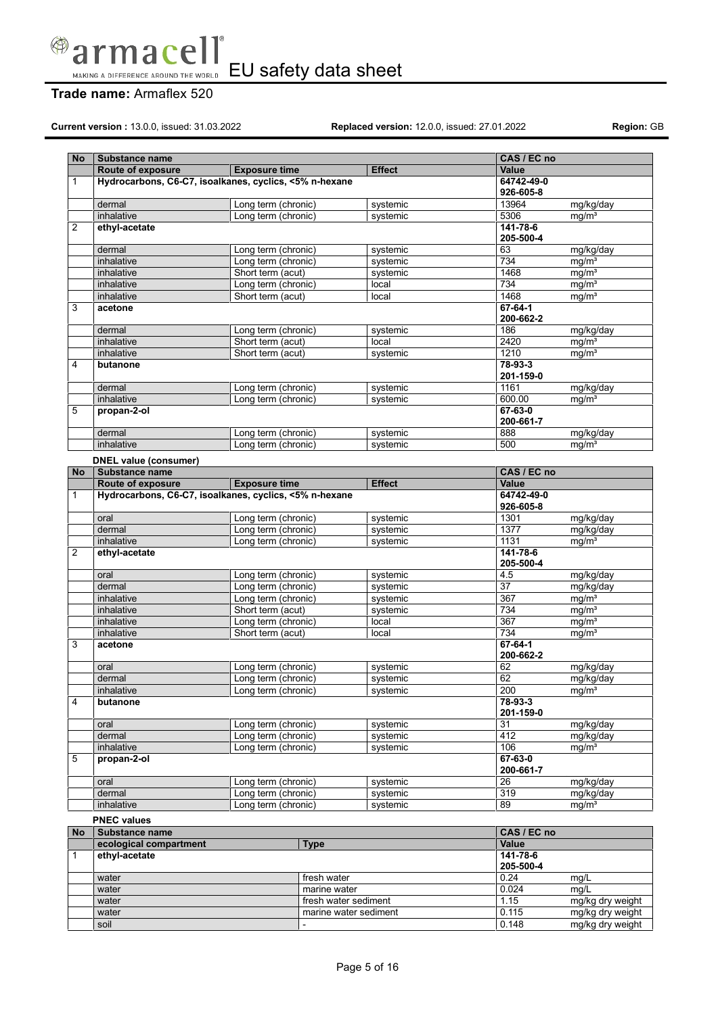

## **Trade name:** Armaflex 520

**Current version :** 13.0.0, issued: 31.03.2022 **Replaced version:** 12.0.0, issued: 27.01.2022 **Region:** GB

mg/kg dry weight<br>mg/kg dry weight

| No        | Substance name                                         |                                            |                      |                      | CAS / EC no             |                                |
|-----------|--------------------------------------------------------|--------------------------------------------|----------------------|----------------------|-------------------------|--------------------------------|
|           | Route of exposure                                      | <b>Exposure time</b>                       |                      | <b>Effect</b>        | Value                   |                                |
|           |                                                        |                                            |                      |                      |                         |                                |
| 1         | Hydrocarbons, C6-C7, isoalkanes, cyclics, <5% n-hexane |                                            |                      |                      | 64742-49-0<br>926-605-8 |                                |
|           |                                                        |                                            |                      |                      |                         |                                |
|           | dermal                                                 | Long term (chronic)                        |                      | systemic             | 13964                   | mg/kg/day                      |
|           | inhalative                                             | Long term (chronic)                        |                      | systemic             | 5306                    | mg/m <sup>3</sup>              |
| 2         | ethyl-acetate                                          |                                            |                      |                      | $141 - 78 - 6$          |                                |
|           |                                                        |                                            |                      |                      | 205-500-4               |                                |
|           | dermal                                                 | Long term (chronic)                        |                      | systemic             | 63                      | mg/kg/day                      |
|           | inhalative                                             | Long term (chronic)                        |                      | systemic             | 734                     | mg/m <sup>3</sup>              |
|           | inhalative                                             | Short term (acut)                          |                      | systemic             | 1468                    | mq/m <sup>3</sup>              |
|           | inhalative                                             | Long term (chronic)                        |                      | local                | 734                     | mg/m <sup>3</sup>              |
|           | inhalative                                             | Short term (acut)                          |                      | local                | 1468                    | mg/m <sup>3</sup>              |
| 3         | acetone                                                |                                            |                      |                      | $67 - 64 - 1$           |                                |
|           |                                                        |                                            |                      |                      | 200-662-2               |                                |
|           | dermal                                                 | Long term (chronic)                        |                      | systemic             | 186                     | mg/kg/day                      |
|           | inhalative                                             | Short term (acut)                          |                      | local                | 2420                    | mq/m <sup>3</sup>              |
|           | inhalative                                             | Short term (acut)                          |                      | systemic             | 1210                    | mg/m <sup>3</sup>              |
| 4         | butanone                                               |                                            |                      |                      | 78-93-3                 |                                |
|           |                                                        |                                            |                      |                      | 201-159-0               |                                |
|           | dermal                                                 | Long term (chronic)                        |                      | systemic             | 1161                    | mg/kg/day                      |
|           | inhalative                                             | Long term (chronic)                        |                      | systemic             | 600.00                  | mq/m <sup>3</sup>              |
| 5         | propan-2-ol                                            |                                            |                      |                      | $67 - 63 - 0$           |                                |
|           |                                                        |                                            |                      |                      | 200-661-7               |                                |
|           | dermal                                                 | Long term (chronic)                        |                      | systemic             | 888                     | mg/kg/day                      |
|           | inhalative                                             | Long term (chronic)                        |                      | systemic             | 500                     | mq/m <sup>3</sup>              |
|           | <b>DNEL value (consumer)</b>                           |                                            |                      |                      |                         |                                |
| <b>No</b> | Substance name                                         |                                            |                      |                      | CAS / EC no             |                                |
|           | <b>Route of exposure</b>                               | <b>Exposure time</b>                       |                      | <b>Effect</b>        | <b>Value</b>            |                                |
| 1         | Hydrocarbons, C6-C7, isoalkanes, cyclics, <5% n-hexane |                                            |                      |                      | 64742-49-0              |                                |
|           |                                                        |                                            |                      |                      | 926-605-8               |                                |
|           | oral                                                   | Long term (chronic)                        |                      | systemic             | 1301                    | mg/kg/day                      |
|           | dermal                                                 | Long term (chronic)                        |                      | systemic             | 1377                    | mg/kg/day                      |
|           | inhalative                                             | Long term (chronic)                        |                      | systemic             | 1131                    | mg/m <sup>3</sup>              |
| 2         | ethyl-acetate                                          |                                            |                      |                      | 141-78-6                |                                |
|           |                                                        |                                            |                      |                      | 205-500-4               |                                |
|           | oral                                                   |                                            |                      |                      | 4.5                     | mg/kg/day                      |
|           | dermal                                                 | Long term (chronic)<br>Long term (chronic) |                      | systemic<br>systemic | $\overline{37}$         |                                |
|           | inhalative                                             | Long term (chronic)                        |                      |                      | 367                     | mg/kg/day<br>mq/m <sup>3</sup> |
|           |                                                        |                                            |                      | systemic             |                         |                                |
|           | inhalative                                             | Short term (acut)                          |                      | systemic             | 734                     | mg/m <sup>3</sup>              |
|           | inhalative                                             | Long term (chronic)                        |                      | local                | 367                     | mg/m <sup>3</sup>              |
|           | inhalative                                             | Short term (acut)                          |                      | local                | 734                     | mg/m <sup>3</sup>              |
| 3         | acetone                                                |                                            |                      |                      | $67 - 64 - 1$           |                                |
|           |                                                        |                                            |                      |                      | 200-662-2               |                                |
|           | oral                                                   | Long term (chronic)                        |                      | systemic             | 62                      | mg/kg/day                      |
|           | dermal                                                 | Long term (chronic)                        |                      | systemic             | 62                      | mg/kg/day                      |
|           | inhalative                                             | Long term (chronic)                        |                      | systemic             | 200                     | mg/m <sup>3</sup>              |
| 4         | butanone                                               |                                            |                      |                      | 78-93-3                 |                                |
|           |                                                        |                                            |                      |                      | 201-159-0               |                                |
|           | oral                                                   | Long term (chronic)                        |                      | systemic             | 31                      | mg/kg/day                      |
|           | dermal                                                 | Long term (chronic)                        |                      | systemic             | 412                     | mg/kg/day                      |
|           | inhalative                                             | Long term (chronic)                        |                      | systemic             | 106                     | mq/m <sup>3</sup>              |
| 5         | propan-2-ol                                            |                                            |                      |                      | 67-63-0                 |                                |
|           |                                                        |                                            |                      |                      | 200-661-7               |                                |
|           | oral                                                   | Long term (chronic)                        |                      | systemic             | 26                      | mg/kg/day                      |
|           | dermal                                                 | Long term (chronic)                        |                      | systemic             | 319                     | mg/kg/day                      |
|           | inhalative                                             | Long term (chronic)                        |                      | systemic             | 89                      | mg/m <sup>3</sup>              |
|           | <b>PNEC values</b>                                     |                                            |                      |                      |                         |                                |
| <b>No</b> | Substance name                                         |                                            |                      |                      | CAS / EC no             |                                |
|           | ecological compartment                                 |                                            | <b>Type</b>          |                      | Value                   |                                |
| 1         | ethyl-acetate                                          |                                            |                      |                      | $141 - 78 - 6$          |                                |
|           |                                                        |                                            |                      |                      | 205-500-4               |                                |
|           | water                                                  |                                            | fresh water          |                      | 0.24                    | mg/L                           |
|           | water                                                  |                                            | marine water         |                      | 0.024                   | mq/L                           |
|           | water                                                  |                                            | fresh water sediment |                      | 1.15                    | mg/kg dry weight               |
|           |                                                        |                                            |                      |                      |                         |                                |

water marine water sediment 0.115 mg/kg dry water sediment 0.115 mg/kg dry weight 0.116 mg/kg dry weight 0.148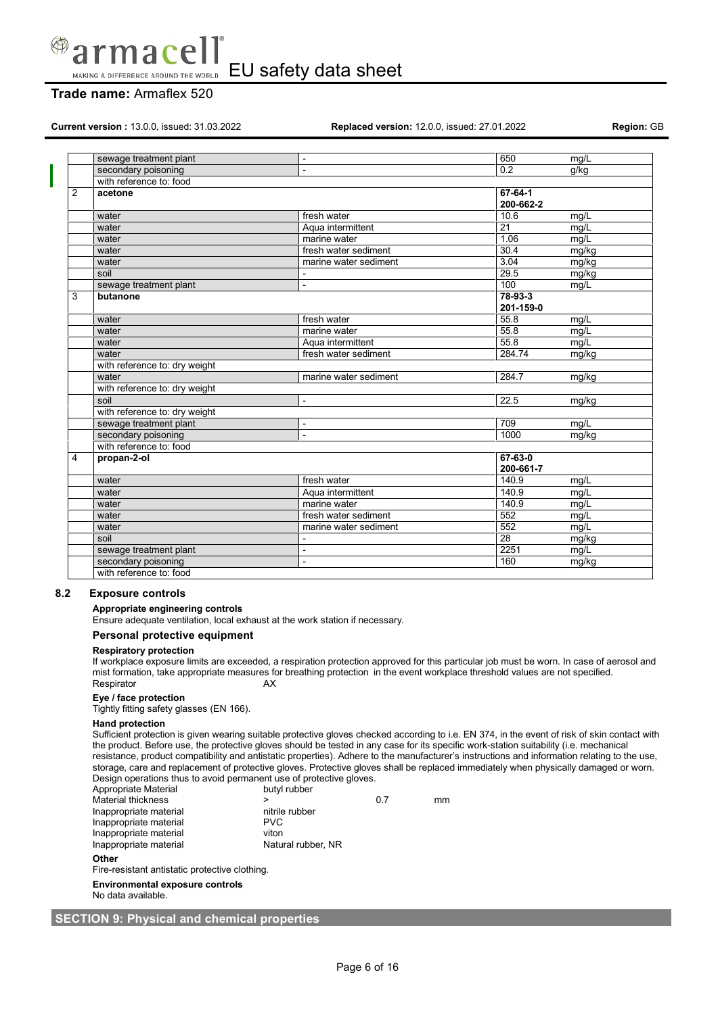

## **Trade name:** Armaflex 520

**Current version :** 13.0.0, issued: 31.03.2022 **Replaced version:** 12.0.0, issued: 27.01.2022 **Region:** GB

| 650<br>sewage treatment plant<br>mg/L<br>$\overline{a}$                     |  |
|-----------------------------------------------------------------------------|--|
| $\overline{0.2}$<br>secondary poisoning<br>g/kg<br>$\overline{\phantom{0}}$ |  |
| with reference to: food                                                     |  |
| 2<br>67-64-1<br>acetone                                                     |  |
| 200-662-2                                                                   |  |
| fresh water<br>10.6<br>water<br>mg/L                                        |  |
| 21<br>Aqua intermittent<br>mq/L<br>water                                    |  |
| 1.06<br>mq/L<br>marine water<br>water                                       |  |
| fresh water sediment<br>30.4<br>mg/kg<br>water                              |  |
| 3.04<br>mg/kg<br>marine water sediment<br>water                             |  |
| 29.5<br>soil<br>mg/kg<br>$\overline{\phantom{0}}$                           |  |
| 100<br>sewage treatment plant<br>mg/L<br>÷,                                 |  |
| 78-93-3<br>3<br>butanone                                                    |  |
| 201-159-0                                                                   |  |
| 55.8<br>fresh water<br>mg/L<br>water                                        |  |
| 55.8<br>mq/L<br>water<br>marine water                                       |  |
| 55.8<br>Aqua intermittent<br>mq/L<br>water                                  |  |
| 284.74<br>fresh water sediment<br>mg/kg<br>water                            |  |
| with reference to: dry weight                                               |  |
| marine water sediment<br>284.7<br>mg/kg<br>water                            |  |
| with reference to: dry weight                                               |  |
| 22.5<br>soil<br>mg/kg<br>$\overline{a}$                                     |  |
| with reference to: dry weight                                               |  |
| sewage treatment plant<br>709<br>mq/L<br>$\overline{a}$                     |  |
| secondary poisoning<br>1000<br>mg/kg<br>÷,                                  |  |
| with reference to: food                                                     |  |
| $67 - 63 - 0$<br>4<br>propan-2-ol                                           |  |
| 200-661-7                                                                   |  |
| fresh water<br>140.9<br>water<br>mg/L                                       |  |
| 140.9<br>Aqua intermittent<br>mg/L<br>water                                 |  |
| 140.9<br>marine water<br>mg/L<br>water                                      |  |
| 552<br>fresh water sediment<br>mg/L<br>water                                |  |
| 552<br>marine water sediment<br>mq/L<br>water                               |  |
| soil<br>28<br>mg/kg                                                         |  |
| 2251<br>sewage treatment plant<br>mq/L<br>L,                                |  |
|                                                                             |  |
| secondary poisoning<br>160<br>mg/kg<br>÷,                                   |  |

## **8.2 Exposure controls**

**Appropriate engineering controls**

Ensure adequate ventilation, local exhaust at the work station if necessary.

## **Personal protective equipment**

## **Respiratory protection**

If workplace exposure limits are exceeded, a respiration protection approved for this particular job must be worn. In case of aerosol and mist formation, take appropriate measures for breathing protection in the event workplace threshold values are not specified. Respirator AX

## **Eye / face protection**

Tightly fitting safety glasses (EN 166).

#### **Hand protection**

Sufficient protection is given wearing suitable protective gloves checked according to i.e. EN 374, in the event of risk of skin contact with the product. Before use, the protective gloves should be tested in any case for its specific work-station suitability (i.e. mechanical resistance, product compatibility and antistatic properties). Adhere to the manufacturer's instructions and information relating to the use, storage, care and replacement of protective gloves. Protective gloves shall be replaced immediately when physically damaged or worn. Design operations thus to avoid permanent use of protective gloves.

| Appropriate Material   | butyl rubber       |     |    |
|------------------------|--------------------|-----|----|
| Material thickness     |                    | 0 7 | mm |
| Inappropriate material | nitrile rubber     |     |    |
| Inappropriate material | <b>PVC</b>         |     |    |
| Inappropriate material | viton              |     |    |
| Inappropriate material | Natural rubber, NR |     |    |
|                        |                    |     |    |

#### **Other**

Fire-resistant antistatic protective clothing.

**Environmental exposure controls**

No data available.

## **SECTION 9: Physical and chemical properties**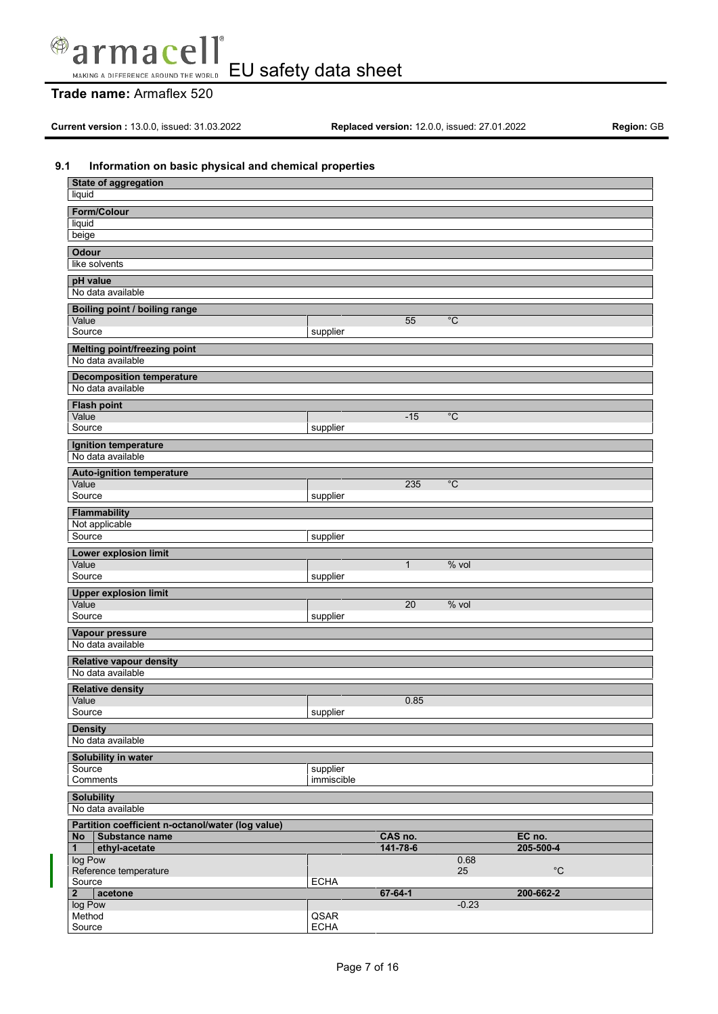

## **Trade name:** Armaflex 520

**Current version :** 13.0.0, issued: 31.03.2022 **Replaced version:** 12.0.0, issued: 27.01.2022 **Region:** GB

## **9.1 Information on basic physical and chemical properties**

| <b>State of aggregation</b>                         |             |               |                |              |  |  |  |
|-----------------------------------------------------|-------------|---------------|----------------|--------------|--|--|--|
| liquid                                              |             |               |                |              |  |  |  |
| Form/Colour                                         |             |               |                |              |  |  |  |
| liquid                                              |             |               |                |              |  |  |  |
| beige                                               |             |               |                |              |  |  |  |
| <b>Odour</b>                                        |             |               |                |              |  |  |  |
| like solvents                                       |             |               |                |              |  |  |  |
|                                                     |             |               |                |              |  |  |  |
| pH value                                            |             |               |                |              |  |  |  |
| No data available                                   |             |               |                |              |  |  |  |
| Boiling point / boiling range                       |             |               |                |              |  |  |  |
| Value                                               |             | 55            | $\overline{C}$ |              |  |  |  |
| Source                                              | supplier    |               |                |              |  |  |  |
| <b>Melting point/freezing point</b>                 |             |               |                |              |  |  |  |
| No data available                                   |             |               |                |              |  |  |  |
| <b>Decomposition temperature</b>                    |             |               |                |              |  |  |  |
| No data available                                   |             |               |                |              |  |  |  |
|                                                     |             |               |                |              |  |  |  |
| <b>Flash point</b><br>Value                         |             | $-15$         | $\overline{C}$ |              |  |  |  |
| Source                                              | supplier    |               |                |              |  |  |  |
|                                                     |             |               |                |              |  |  |  |
| Ignition temperature                                |             |               |                |              |  |  |  |
| No data available                                   |             |               |                |              |  |  |  |
| <b>Auto-ignition temperature</b>                    |             |               |                |              |  |  |  |
| Value                                               |             | 235           | $^{\circ}C$    |              |  |  |  |
| Source                                              | supplier    |               |                |              |  |  |  |
| <b>Flammability</b>                                 |             |               |                |              |  |  |  |
| Not applicable                                      |             |               |                |              |  |  |  |
| Source                                              | supplier    |               |                |              |  |  |  |
| Lower explosion limit                               |             |               |                |              |  |  |  |
| Value                                               |             | $\mathbf{1}$  | $%$ vol        |              |  |  |  |
| Source                                              | supplier    |               |                |              |  |  |  |
| <b>Upper explosion limit</b>                        |             |               |                |              |  |  |  |
| Value                                               |             | 20            | $%$ vol        |              |  |  |  |
| Source                                              | supplier    |               |                |              |  |  |  |
| Vapour pressure                                     |             |               |                |              |  |  |  |
| No data available                                   |             |               |                |              |  |  |  |
|                                                     |             |               |                |              |  |  |  |
| <b>Relative vapour density</b><br>No data available |             |               |                |              |  |  |  |
|                                                     |             |               |                |              |  |  |  |
| <b>Relative density</b><br>Value                    |             |               |                |              |  |  |  |
| Source                                              | supplier    | 0.85          |                |              |  |  |  |
|                                                     |             |               |                |              |  |  |  |
| <b>Density</b>                                      |             |               |                |              |  |  |  |
| No data available                                   |             |               |                |              |  |  |  |
| Solubility in water                                 |             |               |                |              |  |  |  |
| Source                                              | supplier    |               |                |              |  |  |  |
| Comments                                            | immiscible  |               |                |              |  |  |  |
| <b>Solubility</b>                                   |             |               |                |              |  |  |  |
| No data available                                   |             |               |                |              |  |  |  |
| Partition coefficient n-octanol/water (log value)   |             |               |                |              |  |  |  |
| Substance name<br><b>No</b>                         |             | CAS no.       |                | EC no.       |  |  |  |
| ethyl-acetate<br>$\mathbf{1}$                       |             | 141-78-6      |                | 205-500-4    |  |  |  |
| log Pow                                             |             |               | 0.68           |              |  |  |  |
| Reference temperature                               |             |               | 25             | $^{\circ}$ C |  |  |  |
| Source<br>acetone<br>$\mathbf{2}$                   | <b>ECHA</b> | $67 - 64 - 1$ |                | 200-662-2    |  |  |  |
| log Pow                                             |             |               | $-0.23$        |              |  |  |  |
| Method                                              | QSAR        |               |                |              |  |  |  |
| Source                                              | <b>ECHA</b> |               |                |              |  |  |  |
|                                                     |             |               |                |              |  |  |  |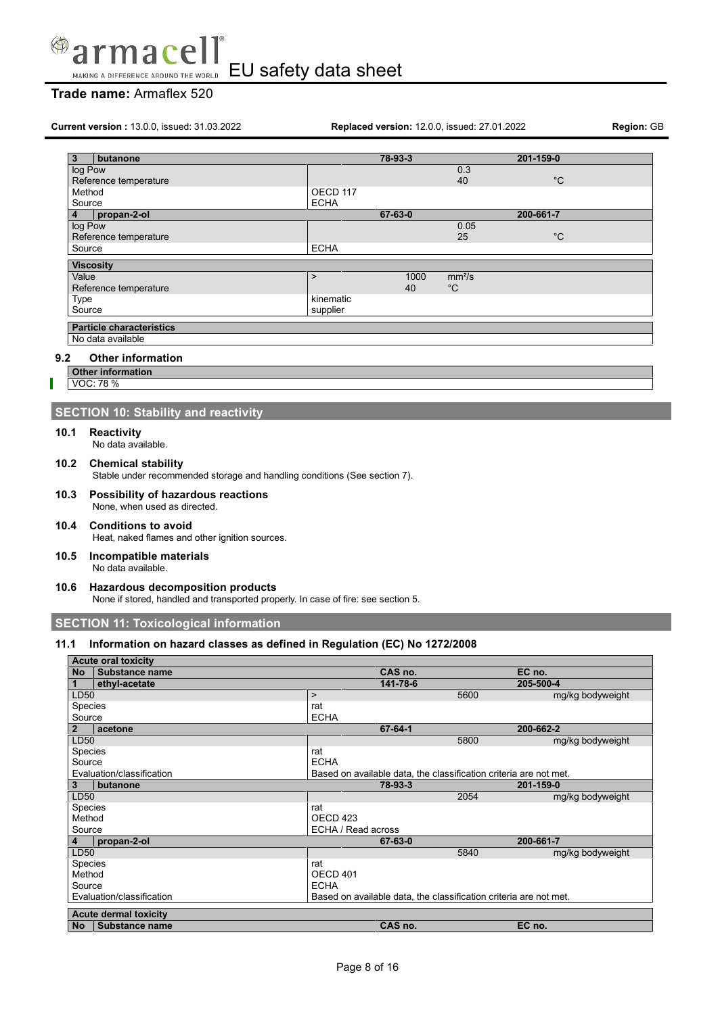

## **Trade name:** Armaflex 520

**Current version :** 13.0.0, issued: 31.03.2022 **Replaced version:** 12.0.0, issued: 27.01.2022 **Region:** GB

| 3       | butanone                        |             | 78-93-3 |                    | 201-159-0   |
|---------|---------------------------------|-------------|---------|--------------------|-------------|
| log Pow |                                 |             |         | 0.3                |             |
|         | Reference temperature           |             |         | 40                 | $^{\circ}C$ |
| Method  |                                 | OECD 117    |         |                    |             |
| Source  |                                 | <b>ECHA</b> |         |                    |             |
| 4       | propan-2-ol                     |             | 67-63-0 |                    | 200-661-7   |
| log Pow |                                 |             |         | 0.05               |             |
|         | Reference temperature           |             |         | 25                 | $^{\circ}C$ |
| Source  |                                 | <b>ECHA</b> |         |                    |             |
|         | <b>Viscosity</b>                |             |         |                    |             |
| Value   |                                 | $\geq$      | 1000    | mm <sup>2</sup> /s |             |
|         | Reference temperature           |             | 40      | $^{\circ}C$        |             |
|         |                                 |             |         |                    |             |
| Type    |                                 | kinematic   |         |                    |             |
| Source  |                                 | supplier    |         |                    |             |
|         | <b>Particle characteristics</b> |             |         |                    |             |
|         |                                 |             |         |                    |             |
|         | No data available               |             |         |                    |             |

## **9.2 Other information**

- **Other information**
- VOC: 78 %

## **SECTION 10: Stability and reactivity**

**10.1 Reactivity**

No data available.

- **10.2 Chemical stability** Stable under recommended storage and handling conditions (See section 7).
- **10.3 Possibility of hazardous reactions** None, when used as directed.
- **10.4 Conditions to avoid** Heat, naked flames and other ignition sources.
- **10.5 Incompatible materials** No data available.
- **10.6 Hazardous decomposition products** None if stored, handled and transported properly. In case of fire: see section 5.

**SECTION 11: Toxicological information**

## **11.1 Information on hazard classes as defined in Regulation (EC) No 1272/2008**

|           | <b>Acute oral toxicity</b>   |                                                                   |      |                  |
|-----------|------------------------------|-------------------------------------------------------------------|------|------------------|
| <b>No</b> | Substance name               | CAS no.                                                           |      | EC no.           |
|           | ethyl-acetate                | 141-78-6                                                          |      | 205-500-4        |
| LD50      |                              | $\geq$                                                            | 5600 | mg/kg bodyweight |
| Species   |                              | rat                                                               |      |                  |
| Source    |                              | <b>ECHA</b>                                                       |      |                  |
| 2         | acetone                      | 67-64-1                                                           |      | 200-662-2        |
| LD50      |                              |                                                                   | 5800 | mg/kg bodyweight |
| Species   |                              | rat                                                               |      |                  |
| Source    |                              | <b>ECHA</b>                                                       |      |                  |
|           | Evaluation/classification    | Based on available data, the classification criteria are not met. |      |                  |
| 3         | butanone                     | 78-93-3                                                           |      | 201-159-0        |
| LD50      |                              |                                                                   | 2054 | mg/kg bodyweight |
| Species   |                              | rat                                                               |      |                  |
| Method    |                              | OECD 423                                                          |      |                  |
| Source    |                              | ECHA / Read across                                                |      |                  |
| 4         | propan-2-ol                  | 67-63-0                                                           |      | 200-661-7        |
| LD50      |                              |                                                                   | 5840 | mg/kg bodyweight |
| Species   |                              | rat                                                               |      |                  |
| Method    |                              | OECD 401                                                          |      |                  |
| Source    |                              | <b>ECHA</b>                                                       |      |                  |
|           | Evaluation/classification    | Based on available data, the classification criteria are not met. |      |                  |
|           |                              |                                                                   |      |                  |
|           | <b>Acute dermal toxicity</b> |                                                                   |      |                  |
| No        | Substance name               | CAS no.                                                           |      | EC no.           |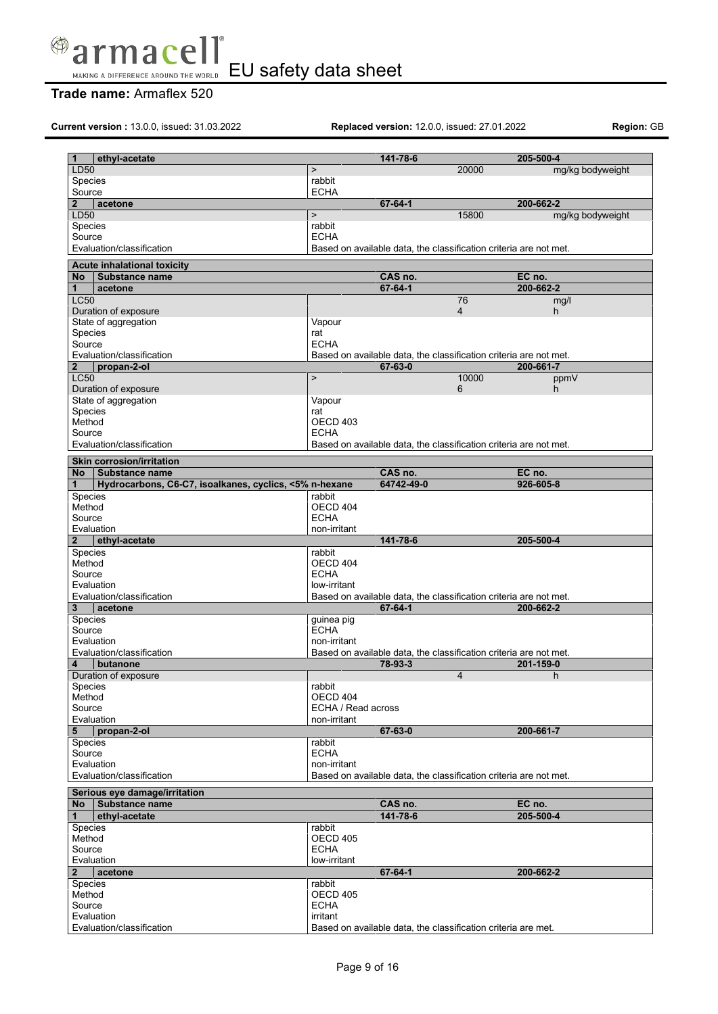

## **Trade name:** Armaflex 520

**Current version :** 13.0.0, issued: 31.03.2022 **Replaced version:** 12.0.0, issued: 27.01.2022 **Region:** GB

| 1                 | ethyl-acetate                                          |                       | 141-78-6                                                          |                | 205-500-4        |
|-------------------|--------------------------------------------------------|-----------------------|-------------------------------------------------------------------|----------------|------------------|
| LD50              |                                                        | $\geq$                |                                                                   | 20000          | mg/kg bodyweight |
| Species<br>Source |                                                        | rabbit<br><b>ECHA</b> |                                                                   |                |                  |
| $\mathbf{2}$      |                                                        |                       | $67 - 64 - 1$                                                     |                | 200-662-2        |
| LD50              | acetone                                                | $\,$                  |                                                                   | 15800          | mg/kg bodyweight |
| Species           |                                                        | rabbit                |                                                                   |                |                  |
| Source            |                                                        | <b>ECHA</b>           |                                                                   |                |                  |
|                   | Evaluation/classification                              |                       | Based on available data, the classification criteria are not met. |                |                  |
|                   |                                                        |                       |                                                                   |                |                  |
|                   | <b>Acute inhalational toxicity</b>                     |                       |                                                                   |                |                  |
| <b>No</b>         | Substance name                                         |                       | CAS no.                                                           |                | EC no.           |
| 1                 | acetone                                                |                       | $67 - 64 - 1$                                                     |                | 200-662-2        |
| <b>LC50</b>       |                                                        |                       |                                                                   | 76             | mg/l             |
|                   | Duration of exposure                                   |                       |                                                                   | $\overline{4}$ | h                |
|                   | State of aggregation                                   | Vapour                |                                                                   |                |                  |
| Species<br>Source |                                                        | rat<br><b>ECHA</b>    |                                                                   |                |                  |
|                   | Evaluation/classification                              |                       | Based on available data, the classification criteria are not met. |                |                  |
| $\overline{2}$    | propan-2-ol                                            |                       | 67-63-0                                                           |                | 200-661-7        |
| <b>LC50</b>       |                                                        | $\,$                  |                                                                   | 10000          |                  |
|                   | Duration of exposure                                   |                       |                                                                   | 6              | ppmV<br>h        |
|                   | State of aggregation                                   | Vapour                |                                                                   |                |                  |
| Species           |                                                        | rat                   |                                                                   |                |                  |
| Method            |                                                        | OECD 403              |                                                                   |                |                  |
| Source            |                                                        | <b>ECHA</b>           |                                                                   |                |                  |
|                   | Evaluation/classification                              |                       | Based on available data, the classification criteria are not met. |                |                  |
|                   |                                                        |                       |                                                                   |                |                  |
|                   | <b>Skin corrosion/irritation</b>                       |                       |                                                                   |                |                  |
| <b>No</b>         | Substance name                                         |                       | CAS no.                                                           |                | EC no.           |
| 1                 | Hydrocarbons, C6-C7, isoalkanes, cyclics, <5% n-hexane |                       | 64742-49-0                                                        |                | 926-605-8        |
| Species<br>Method |                                                        | rabbit<br>OECD 404    |                                                                   |                |                  |
| Source            |                                                        | <b>ECHA</b>           |                                                                   |                |                  |
|                   | Evaluation                                             | non-irritant          |                                                                   |                |                  |
| $\mathbf{2}$      | ethyl-acetate                                          |                       | 141-78-6                                                          |                | 205-500-4        |
| <b>Species</b>    |                                                        | rabbit                |                                                                   |                |                  |
| Method            |                                                        | OECD 404              |                                                                   |                |                  |
| Source            |                                                        | <b>ECHA</b>           |                                                                   |                |                  |
|                   | Evaluation                                             | low-irritant          |                                                                   |                |                  |
|                   | Evaluation/classification                              |                       | Based on available data, the classification criteria are not met. |                |                  |
| 3 <sup>1</sup>    | acetone                                                |                       | $67 - 64 - 1$                                                     |                | 200-662-2        |
| <b>Species</b>    |                                                        | guinea pig            |                                                                   |                |                  |
| Source            |                                                        | <b>ECHA</b>           |                                                                   |                |                  |
|                   | Evaluation                                             | non-irritant          |                                                                   |                |                  |
|                   | Evaluation/classification                              |                       |                                                                   |                |                  |
| 4                 |                                                        |                       | Based on available data, the classification criteria are not met. |                |                  |
|                   | butanone                                               |                       | 78-93-3                                                           |                | 201-159-0        |
|                   | Duration of exposure                                   |                       |                                                                   | 4              | h                |
| Species           |                                                        | rabbit                |                                                                   |                |                  |
| Method            |                                                        | OECD 404              |                                                                   |                |                  |
| Source            |                                                        | ECHA / Read across    |                                                                   |                |                  |
| Evaluation        |                                                        | non-irritant          |                                                                   |                |                  |
| 5                 | propan-2-ol                                            |                       | 67-63-0                                                           |                | 200-661-7        |
| Species           |                                                        | rabbit                |                                                                   |                |                  |
| Source            |                                                        | <b>ECHA</b>           |                                                                   |                |                  |
| Evaluation        |                                                        | non-irritant          |                                                                   |                |                  |
|                   | Evaluation/classification                              |                       | Based on available data, the classification criteria are not met. |                |                  |
|                   |                                                        |                       |                                                                   |                |                  |
| <b>No</b>         | Serious eye damage/irritation<br>Substance name        |                       | CAS no.                                                           |                | EC no.           |
| 1                 | ethyl-acetate                                          |                       | 141-78-6                                                          |                | 205-500-4        |
| Species           |                                                        | rabbit                |                                                                   |                |                  |
| Method            |                                                        | OECD 405              |                                                                   |                |                  |
| Source            |                                                        | <b>ECHA</b>           |                                                                   |                |                  |
|                   | Evaluation                                             | low-irritant          |                                                                   |                |                  |
| $\mathbf{2}$      | acetone                                                |                       | $67 - 64 - 1$                                                     |                | 200-662-2        |
| <b>Species</b>    |                                                        | rabbit                |                                                                   |                |                  |
| Method            |                                                        | OECD 405              |                                                                   |                |                  |
| Source            |                                                        | <b>ECHA</b>           |                                                                   |                |                  |
|                   | Evaluation<br>Evaluation/classification                | irritant              | Based on available data, the classification criteria are met.     |                |                  |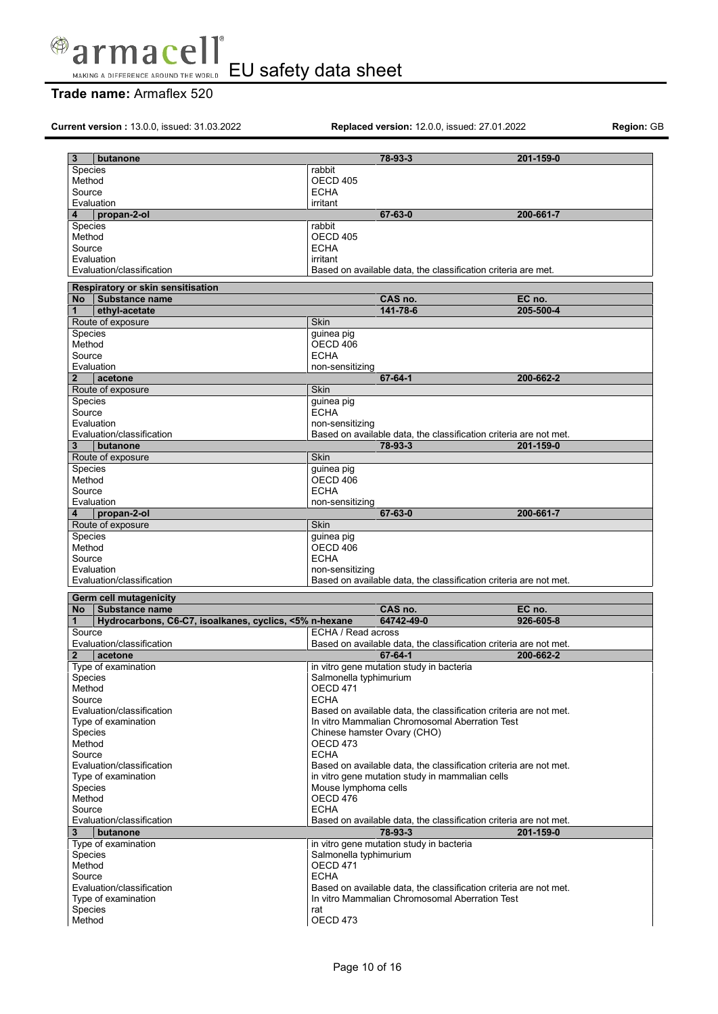

## **Trade name:** Armaflex 520

**Current version :** 13.0.0, issued: 31.03.2022 **Replaced version:** 12.0.0, issued: 27.01.2022 **Region:** GB

| 3<br>butanone                                                          | 78-93-3                                         | 201-159-0                                                         |
|------------------------------------------------------------------------|-------------------------------------------------|-------------------------------------------------------------------|
| Species                                                                | rabbit                                          |                                                                   |
| Method                                                                 | OECD 405                                        |                                                                   |
| Source                                                                 | <b>ECHA</b>                                     |                                                                   |
| Evaluation                                                             | irritant                                        |                                                                   |
| propan-2-ol<br>4                                                       | 67-63-0                                         | 200-661-7                                                         |
| <b>Species</b>                                                         | rabbit                                          |                                                                   |
| Method                                                                 | OECD 405                                        |                                                                   |
| Source                                                                 | <b>ECHA</b>                                     |                                                                   |
| Evaluation                                                             | irritant                                        |                                                                   |
| Evaluation/classification                                              |                                                 | Based on available data, the classification criteria are met.     |
|                                                                        |                                                 |                                                                   |
| Respiratory or skin sensitisation                                      |                                                 |                                                                   |
| Substance name<br>No                                                   | CAS no.                                         | EC no.                                                            |
| ethyl-acetate<br>$\mathbf 1$                                           | 141-78-6                                        | 205-500-4                                                         |
| Route of exposure                                                      | <b>Skin</b>                                     |                                                                   |
| <b>Species</b>                                                         | guinea pig                                      |                                                                   |
| Method                                                                 | OECD 406                                        |                                                                   |
| Source                                                                 | <b>ECHA</b>                                     |                                                                   |
| Evaluation                                                             | non-sensitizing                                 |                                                                   |
| $\overline{2}$<br>acetone                                              | $67 - 64 - 1$                                   | 200-662-2                                                         |
| Route of exposure                                                      | <b>Skin</b>                                     |                                                                   |
| Species                                                                | guinea pig                                      |                                                                   |
| Source                                                                 | <b>ECHA</b>                                     |                                                                   |
| Evaluation                                                             | non-sensitizing                                 |                                                                   |
|                                                                        |                                                 |                                                                   |
| Evaluation/classification                                              |                                                 | Based on available data, the classification criteria are not met. |
| 3<br>butanone                                                          | 78-93-3                                         | 201-159-0                                                         |
| Route of exposure                                                      | <b>Skin</b>                                     |                                                                   |
| <b>Species</b>                                                         | guinea pig                                      |                                                                   |
| Method                                                                 | OECD 406                                        |                                                                   |
| Source                                                                 | <b>ECHA</b>                                     |                                                                   |
| Evaluation                                                             | non-sensitizing                                 |                                                                   |
| propan-2-ol<br>4                                                       | 67-63-0                                         | 200-661-7                                                         |
| Route of exposure                                                      | Skin                                            |                                                                   |
|                                                                        |                                                 |                                                                   |
|                                                                        |                                                 |                                                                   |
| <b>Species</b><br>Method                                               | guinea pig<br>OECD 406                          |                                                                   |
| Source                                                                 | <b>ECHA</b>                                     |                                                                   |
|                                                                        |                                                 |                                                                   |
| Evaluation                                                             | non-sensitizing                                 |                                                                   |
| Evaluation/classification                                              |                                                 | Based on available data, the classification criteria are not met. |
| Germ cell mutagenicity                                                 |                                                 |                                                                   |
| <b>No</b><br><b>Substance name</b>                                     | CAS no.                                         | EC no.                                                            |
| Hydrocarbons, C6-C7, isoalkanes, cyclics, <5% n-hexane<br>$\mathbf{1}$ | 64742-49-0                                      | 926-605-8                                                         |
| Source                                                                 | ECHA / Read across                              |                                                                   |
| Evaluation/classification                                              |                                                 | Based on available data, the classification criteria are not met. |
| acetone<br>$\mathbf{2}$                                                | $67 - 64 - 1$                                   | 200-662-2                                                         |
| Type of examination                                                    | in vitro gene mutation study in bacteria        |                                                                   |
| <b>Species</b>                                                         | Salmonella typhimurium                          |                                                                   |
| Method                                                                 | <b>OECD 471</b>                                 |                                                                   |
| Source                                                                 | <b>ECHA</b>                                     |                                                                   |
| Evaluation/classification                                              |                                                 | Based on available data, the classification criteria are not met. |
|                                                                        |                                                 |                                                                   |
| Type of examination                                                    | Chinese hamster Ovary (CHO)                     | In vitro Mammalian Chromosomal Aberration Test                    |
| Species                                                                |                                                 |                                                                   |
| Method                                                                 | OECD 473                                        |                                                                   |
| Source                                                                 | <b>ECHA</b>                                     |                                                                   |
| Evaluation/classification                                              |                                                 | Based on available data, the classification criteria are not met. |
| Type of examination                                                    | in vitro gene mutation study in mammalian cells |                                                                   |
| Species                                                                | Mouse lymphoma cells                            |                                                                   |
| Method                                                                 | OECD 476                                        |                                                                   |
| Source                                                                 | <b>ECHA</b>                                     |                                                                   |
| Evaluation/classification                                              |                                                 | Based on available data, the classification criteria are not met. |
| 3<br>butanone                                                          | 78-93-3                                         | 201-159-0                                                         |
| Type of examination                                                    | in vitro gene mutation study in bacteria        |                                                                   |
| Species                                                                | Salmonella typhimurium                          |                                                                   |
| Method                                                                 | <b>OECD 471</b>                                 |                                                                   |
| Source                                                                 | <b>ECHA</b>                                     |                                                                   |
| Evaluation/classification                                              |                                                 | Based on available data, the classification criteria are not met. |
| Type of examination                                                    |                                                 | In vitro Mammalian Chromosomal Aberration Test                    |
| Species<br>Method                                                      | rat<br>OECD 473                                 |                                                                   |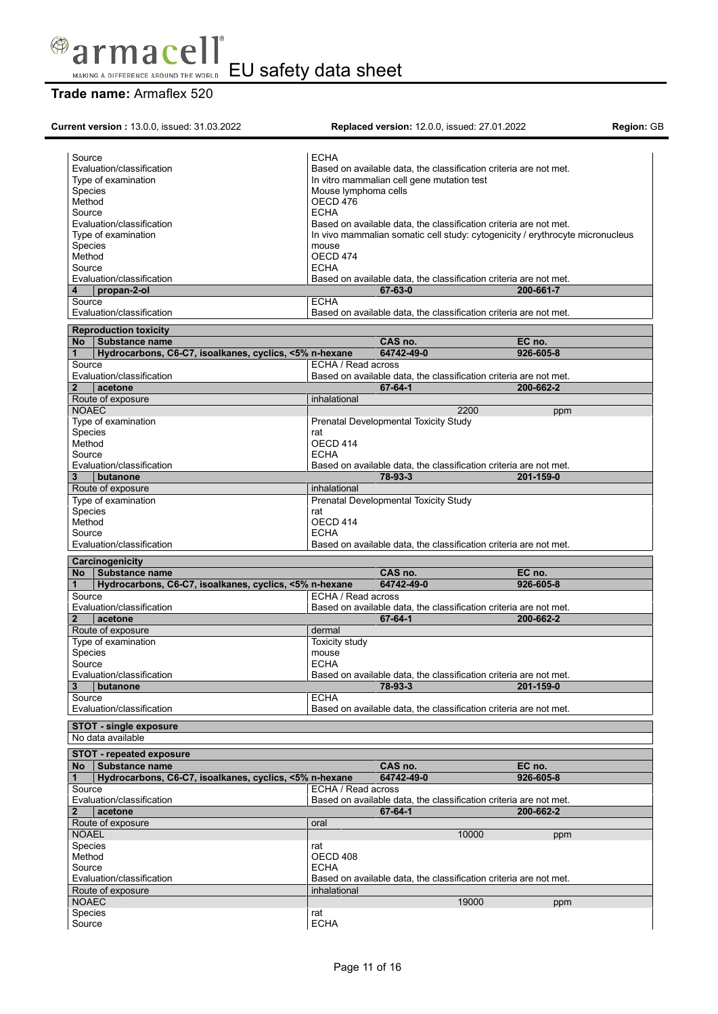

# **Trade name:** Armaflex 520

| Current version: 13.0.0, issued: 31.03.2022                 |                      | Replaced version: 12.0.0, issued: 27.01.2022 |                                                                               | Region: GB |
|-------------------------------------------------------------|----------------------|----------------------------------------------|-------------------------------------------------------------------------------|------------|
|                                                             |                      |                                              |                                                                               |            |
| Source                                                      | <b>ECHA</b>          |                                              |                                                                               |            |
| Evaluation/classification                                   |                      |                                              | Based on available data, the classification criteria are not met.             |            |
| Type of examination                                         |                      | In vitro mammalian cell gene mutation test   |                                                                               |            |
| <b>Species</b>                                              | Mouse lymphoma cells |                                              |                                                                               |            |
| Method                                                      | OECD 476             |                                              |                                                                               |            |
| Source                                                      | <b>ECHA</b>          |                                              |                                                                               |            |
| Evaluation/classification                                   |                      |                                              | Based on available data, the classification criteria are not met.             |            |
| Type of examination                                         |                      |                                              | In vivo mammalian somatic cell study: cytogenicity / erythrocyte micronucleus |            |
| Species                                                     | mouse                |                                              |                                                                               |            |
| Method                                                      | OECD 474             |                                              |                                                                               |            |
| Source                                                      | <b>ECHA</b>          |                                              |                                                                               |            |
| Evaluation/classification                                   |                      |                                              | Based on available data, the classification criteria are not met.             |            |
| propan-2-ol<br>4                                            |                      | 67-63-0                                      | 200-661-7                                                                     |            |
| Source                                                      | <b>ECHA</b>          |                                              |                                                                               |            |
| Evaluation/classification                                   |                      |                                              | Based on available data, the classification criteria are not met.             |            |
|                                                             |                      |                                              |                                                                               |            |
| <b>Reproduction toxicity</b>                                |                      |                                              |                                                                               |            |
| No Substance name                                           |                      | CAS no.                                      | EC no.                                                                        |            |
| Hydrocarbons, C6-C7, isoalkanes, cyclics, <5% n-hexane<br>1 |                      | 64742-49-0                                   | 926-605-8                                                                     |            |
| Source                                                      | ECHA / Read across   |                                              |                                                                               |            |
| Evaluation/classification                                   |                      |                                              | Based on available data, the classification criteria are not met.             |            |
| acetone                                                     |                      | 67-64-1                                      | 200-662-2                                                                     |            |
| Route of exposure                                           | inhalational         |                                              |                                                                               |            |
| <b>NOAEC</b>                                                |                      |                                              | 2200<br>ppm                                                                   |            |
| Type of examination                                         |                      | Prenatal Developmental Toxicity Study        |                                                                               |            |
| Species                                                     | rat                  |                                              |                                                                               |            |
| Method                                                      | OECD 414             |                                              |                                                                               |            |
| Source                                                      | <b>ECHA</b>          |                                              |                                                                               |            |
| Evaluation/classification                                   |                      |                                              | Based on available data, the classification criteria are not met.             |            |
| 3<br>butanone                                               |                      | 78-93-3                                      | 201-159-0                                                                     |            |
| Route of exposure                                           | inhalational         |                                              |                                                                               |            |
| Type of examination                                         |                      | Prenatal Developmental Toxicity Study        |                                                                               |            |
| Species                                                     | rat                  |                                              |                                                                               |            |
| Method                                                      | OECD 414             |                                              |                                                                               |            |
| Source                                                      | <b>ECHA</b>          |                                              |                                                                               |            |
| Evaluation/classification                                   |                      |                                              | Based on available data, the classification criteria are not met.             |            |
|                                                             |                      |                                              |                                                                               |            |
| Carcinogenicity                                             |                      |                                              |                                                                               |            |
| No Substance name                                           |                      | CAS no.                                      | EC no.                                                                        |            |
| Hydrocarbons, C6-C7, isoalkanes, cyclics, <5% n-hexane<br>1 |                      | 64742-49-0                                   | 926-605-8                                                                     |            |
| Source                                                      | ECHA / Read across   |                                              |                                                                               |            |
| Evaluation/classification                                   |                      |                                              | Based on available data, the classification criteria are not met.             |            |
| $\mathbf{2}$<br>acetone                                     |                      | 67-64-1                                      | 200-662-2                                                                     |            |
| Route of exposure                                           | dermal               |                                              |                                                                               |            |
| Type of examination                                         | Toxicity study       |                                              |                                                                               |            |
| <b>Species</b>                                              | mouse                |                                              |                                                                               |            |
| Source                                                      | <b>ECHA</b>          |                                              |                                                                               |            |
| Evaluation/classification                                   |                      |                                              | Based on available data, the classification criteria are not met.             |            |
| butanone                                                    |                      | 78-93-3                                      | 201-159-0                                                                     |            |
| 3                                                           |                      |                                              |                                                                               |            |
| Source                                                      | <b>ECHA</b>          |                                              |                                                                               |            |
| Evaluation/classification                                   |                      |                                              | Based on available data, the classification criteria are not met.             |            |
| <b>STOT - single exposure</b>                               |                      |                                              |                                                                               |            |
| No data available                                           |                      |                                              |                                                                               |            |
|                                                             |                      |                                              |                                                                               |            |
| <b>STOT - repeated exposure</b>                             |                      |                                              |                                                                               |            |
| Substance name<br><b>No</b>                                 |                      | CAS no.                                      | EC no.                                                                        |            |
| Hydrocarbons, C6-C7, isoalkanes, cyclics, <5% n-hexane<br>1 |                      | 64742-49-0                                   | 926-605-8                                                                     |            |
| Source                                                      | ECHA / Read across   |                                              |                                                                               |            |
| Evaluation/classification                                   |                      |                                              | Based on available data, the classification criteria are not met.             |            |
| $\mathbf{2}$<br>acetone                                     |                      | 67-64-1                                      | 200-662-2                                                                     |            |
| Route of exposure                                           | oral                 |                                              |                                                                               |            |
| <b>NOAEL</b>                                                |                      |                                              | 10000<br>ppm                                                                  |            |
| Species                                                     | rat                  |                                              |                                                                               |            |
| Method                                                      | OECD 408             |                                              |                                                                               |            |
| Source                                                      | <b>ECHA</b>          |                                              |                                                                               |            |
|                                                             |                      |                                              |                                                                               |            |
| Evaluation/classification                                   |                      |                                              | Based on available data, the classification criteria are not met.             |            |
| Route of exposure                                           | inhalational         |                                              |                                                                               |            |
| <b>NOAEC</b>                                                |                      |                                              | 19000<br>ppm                                                                  |            |
| Species                                                     | rat                  |                                              |                                                                               |            |
| Source                                                      | <b>ECHA</b>          |                                              |                                                                               |            |
|                                                             |                      |                                              |                                                                               |            |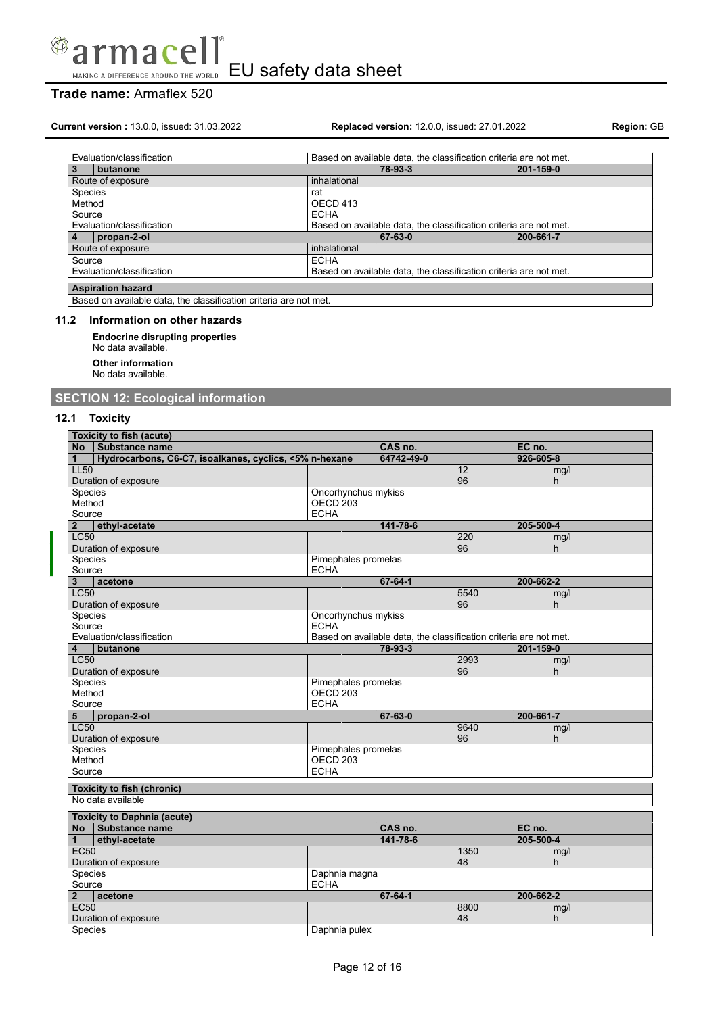

## **Trade name:** Armaflex 520

**Current version :** 13.0.0, issued: 31.03.2022 **Replaced version:** 12.0.0, issued: 27.01.2022 **Region:** GB

| Evaluation/classification | Based on available data, the classification criteria are not met. |           |  |  |  |
|---------------------------|-------------------------------------------------------------------|-----------|--|--|--|
| butanone<br>3             | 78-93-3                                                           | 201-159-0 |  |  |  |
| Route of exposure         | inhalational                                                      |           |  |  |  |
| Species                   | rat                                                               |           |  |  |  |
| Method                    | OECD 413                                                          |           |  |  |  |
| Source                    | <b>ECHA</b>                                                       |           |  |  |  |
| Evaluation/classification | Based on available data, the classification criteria are not met. |           |  |  |  |
| propan-2-ol               | 67-63-0                                                           | 200-661-7 |  |  |  |
| Route of exposure         | inhalational                                                      |           |  |  |  |
| Source                    | <b>ECHA</b>                                                       |           |  |  |  |
| Evaluation/classification | Based on available data, the classification criteria are not met. |           |  |  |  |
| <b>Aspiration hazard</b>  |                                                                   |           |  |  |  |
| $\sim$<br>$\cdots$        |                                                                   |           |  |  |  |

Based on available data, the classification criteria are not met.

## **11.2 Information on other hazards**

**Endocrine disrupting properties** No data available. **Other information** No data available.

## **SECTION 12: Ecological information**

## **12.1 Toxicity**

| <b>Toxicity to fish (acute)</b>                             |                     |                                                                   |                 |           |  |
|-------------------------------------------------------------|---------------------|-------------------------------------------------------------------|-----------------|-----------|--|
| Substance name<br><b>No</b>                                 |                     | CAS no.                                                           |                 | EC no.    |  |
| Hydrocarbons, C6-C7, isoalkanes, cyclics, <5% n-hexane<br>1 |                     | 64742-49-0                                                        |                 | 926-605-8 |  |
| <b>LL50</b>                                                 |                     |                                                                   | $\overline{12}$ | mg/l      |  |
| Duration of exposure                                        |                     |                                                                   | 96              | h         |  |
| Species                                                     | Oncorhynchus mykiss |                                                                   |                 |           |  |
| Method                                                      | OECD <sub>203</sub> |                                                                   |                 |           |  |
| Source                                                      | <b>ECHA</b>         |                                                                   |                 |           |  |
| $\overline{2}$<br>ethyl-acetate                             |                     | 141-78-6                                                          |                 | 205-500-4 |  |
| <b>LC50</b>                                                 |                     |                                                                   | 220             | mg/l      |  |
| Duration of exposure                                        |                     |                                                                   | 96              | h         |  |
| <b>Species</b>                                              | Pimephales promelas |                                                                   |                 |           |  |
| Source                                                      | <b>ECHA</b>         |                                                                   |                 |           |  |
| 3<br>acetone                                                |                     | 67-64-1                                                           |                 | 200-662-2 |  |
| <b>LC50</b>                                                 |                     |                                                                   | 5540            | mg/l      |  |
| Duration of exposure                                        |                     |                                                                   | 96              | h.        |  |
| Species                                                     | Oncorhynchus mykiss |                                                                   |                 |           |  |
| Source                                                      | <b>ECHA</b>         |                                                                   |                 |           |  |
| Evaluation/classification                                   |                     | Based on available data, the classification criteria are not met. |                 |           |  |
| butanone<br>4                                               |                     | 78-93-3                                                           |                 | 201-159-0 |  |
| LC50                                                        |                     |                                                                   | 2993            | mg/l      |  |
| Duration of exposure                                        |                     |                                                                   | 96              | h         |  |
| Species                                                     | Pimephales promelas |                                                                   |                 |           |  |
| Method                                                      | OECD <sub>203</sub> |                                                                   |                 |           |  |
| Source<br><b>ECHA</b>                                       |                     |                                                                   |                 |           |  |
| 5<br>propan-2-ol                                            |                     | 67-63-0                                                           |                 | 200-661-7 |  |
| <b>LC50</b>                                                 |                     |                                                                   | 9640            | mg/l      |  |
| Duration of exposure                                        |                     |                                                                   | 96              | h         |  |
| Species                                                     | Pimephales promelas |                                                                   |                 |           |  |
| Method                                                      | OECD <sub>203</sub> |                                                                   |                 |           |  |
| Source                                                      | <b>ECHA</b>         |                                                                   |                 |           |  |
| <b>Toxicity to fish (chronic)</b>                           |                     |                                                                   |                 |           |  |
| No data available                                           |                     |                                                                   |                 |           |  |
|                                                             |                     |                                                                   |                 |           |  |
| <b>Toxicity to Daphnia (acute)</b>                          |                     |                                                                   |                 |           |  |
| Substance name<br><b>No</b>                                 |                     | CAS no.                                                           |                 | EC no.    |  |
| ethyl-acetate<br>$\mathbf{1}$                               |                     | 141-78-6                                                          |                 | 205-500-4 |  |
| <b>EC50</b>                                                 |                     |                                                                   | 1350            | mg/l      |  |
| Duration of exposure                                        |                     |                                                                   | 48              | h.        |  |
| Species                                                     | Daphnia magna       |                                                                   |                 |           |  |
| Source                                                      | <b>ECHA</b>         |                                                                   |                 |           |  |
| $\overline{2}$<br>acetone                                   |                     | 67-64-1                                                           |                 | 200-662-2 |  |
| <b>EC50</b>                                                 |                     |                                                                   | 8800            | mg/l      |  |
| Duration of exposure                                        |                     |                                                                   | 48              | h.        |  |
| Species                                                     | Daphnia pulex       |                                                                   |                 |           |  |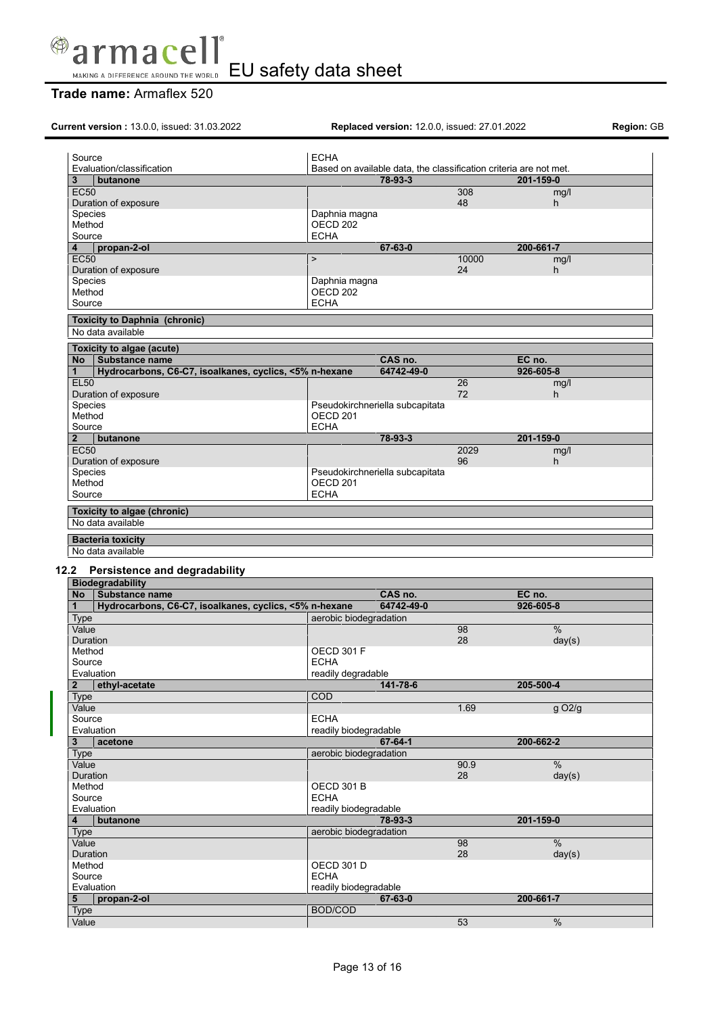

# **Trade name:** Armaflex 520

| Current version: 13.0.0, issued: 31.03.2022                                 | Replaced version: 12.0.0, issued: 27.01.2022                                 |          |                     |  |
|-----------------------------------------------------------------------------|------------------------------------------------------------------------------|----------|---------------------|--|
| Source                                                                      | <b>ECHA</b>                                                                  |          |                     |  |
| Evaluation/classification<br>3<br>butanone                                  | Based on available data, the classification criteria are not met.<br>78-93-3 |          | 201-159-0           |  |
| <b>EC50</b>                                                                 |                                                                              | 308      | mg/l                |  |
| Duration of exposure                                                        |                                                                              | 48       | h.                  |  |
| Species                                                                     | Daphnia magna                                                                |          |                     |  |
| Method                                                                      | OECD <sub>202</sub>                                                          |          |                     |  |
| Source                                                                      | <b>ECHA</b>                                                                  |          |                     |  |
| propan-2-ol<br>4                                                            | 67-63-0                                                                      |          | 200-661-7           |  |
| <b>EC50</b>                                                                 | $\mathbf{r}$                                                                 | 10000    | mg/l                |  |
| Duration of exposure<br>Species                                             |                                                                              | 24       | h.                  |  |
| Method                                                                      | Daphnia magna<br>OECD 202                                                    |          |                     |  |
| Source                                                                      | <b>ECHA</b>                                                                  |          |                     |  |
|                                                                             |                                                                              |          |                     |  |
| <b>Toxicity to Daphnia (chronic)</b>                                        |                                                                              |          |                     |  |
| No data available                                                           |                                                                              |          |                     |  |
| Toxicity to algae (acute)                                                   |                                                                              |          |                     |  |
| Substance name<br><b>No</b>                                                 | CAS no.                                                                      |          | EC no.              |  |
| Hydrocarbons, C6-C7, isoalkanes, cyclics, <5% n-hexane<br>1                 | 64742-49-0                                                                   |          | 926-605-8           |  |
| <b>EL50</b>                                                                 |                                                                              | 26<br>72 | mg/l                |  |
| Duration of exposure<br>Species                                             | Pseudokirchneriella subcapitata                                              |          | h                   |  |
| Method                                                                      | OECD <sub>201</sub>                                                          |          |                     |  |
| Source                                                                      | <b>ECHA</b>                                                                  |          |                     |  |
| $\overline{2}$<br>butanone                                                  | 78-93-3                                                                      |          | 201-159-0           |  |
| <b>EC50</b>                                                                 |                                                                              | 2029     | mg/l                |  |
| Duration of exposure                                                        |                                                                              | 96       | h.                  |  |
| Species                                                                     | Pseudokirchneriella subcapitata                                              |          |                     |  |
| Method                                                                      | <b>OECD 201</b>                                                              |          |                     |  |
| Source                                                                      | <b>ECHA</b>                                                                  |          |                     |  |
| Toxicity to algae (chronic)<br>No data available                            |                                                                              |          |                     |  |
| 12.2 Persistence and degradability                                          |                                                                              |          |                     |  |
| <b>Biodegradability</b>                                                     |                                                                              |          |                     |  |
| No Substance name<br>Hydrocarbons, C6-C7, isoalkanes, cyclics, <5% n-hexane | CAS no.<br>64742-49-0                                                        |          | EC no.<br>926-605-8 |  |
| 1                                                                           | aerobic biodegradation                                                       |          |                     |  |
| <b>Type</b><br>Value                                                        |                                                                              | 98       | $\frac{0}{0}$       |  |
| Duration                                                                    |                                                                              | 28       | day(s)              |  |
| Method                                                                      | <b>OECD 301 F</b>                                                            |          |                     |  |
| Source                                                                      | <b>ECHA</b>                                                                  |          |                     |  |
| Evaluation                                                                  | readily degradable                                                           |          |                     |  |
| $\mathbf{2}$<br>ethyl-acetate                                               | 141-78-6                                                                     |          | 205-500-4           |  |
| Type                                                                        | COD                                                                          |          |                     |  |
| Value                                                                       |                                                                              | 1.69     | g O <sub>2/g</sub>  |  |
| Source<br>Evaluation                                                        | <b>ECHA</b><br>readily biodegradable                                         |          |                     |  |
| 3 <sup>1</sup><br>acetone                                                   | 67-64-1                                                                      |          | 200-662-2           |  |
| Type                                                                        | aerobic biodegradation                                                       |          |                     |  |
| Value                                                                       |                                                                              | 90.9     | %                   |  |
| Duration                                                                    |                                                                              | 28       | day(s)              |  |
| Method                                                                      | <b>OECD 301 B</b>                                                            |          |                     |  |
| Source                                                                      | <b>ECHA</b>                                                                  |          |                     |  |
| Evaluation                                                                  | readily biodegradable                                                        |          |                     |  |
| 4<br>butanone                                                               | 78-93-3                                                                      |          | 201-159-0           |  |
| <b>Type</b>                                                                 | aerobic biodegradation                                                       |          |                     |  |
| Value                                                                       |                                                                              | 98       | %                   |  |
| Duration                                                                    |                                                                              | 28       | day(s)              |  |
| Method<br>Source                                                            | <b>OECD 301 D</b><br><b>ECHA</b>                                             |          |                     |  |
| Evaluation                                                                  | readily biodegradable                                                        |          |                     |  |
| 5<br>propan-2-ol                                                            | 67-63-0                                                                      |          | 200-661-7           |  |
| Type                                                                        | <b>BOD/COD</b>                                                               |          |                     |  |
| Value                                                                       |                                                                              | 53       | $\%$                |  |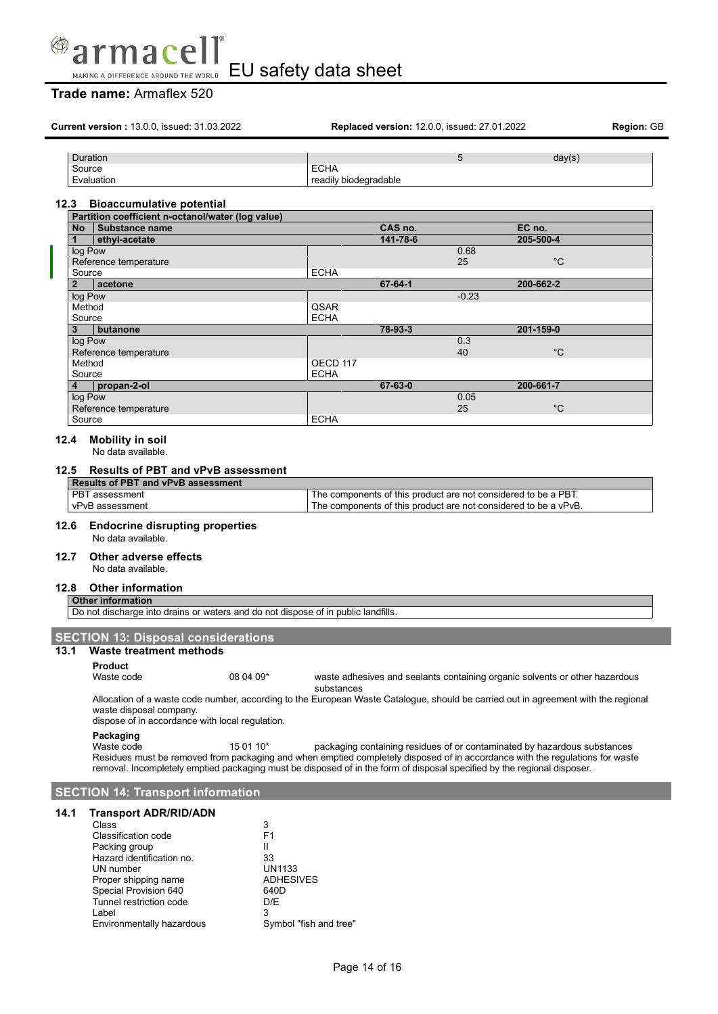

## **Trade name:** Armaflex 520

|                | <b>Current version: 13.0.0, issued: 31.03.2022</b>                                                                                                                                                               |           |                       | <b>Replaced version: 12.0.0, issued: 27.01.2022</b> |         |                                                                                                                                   | Region: GB |
|----------------|------------------------------------------------------------------------------------------------------------------------------------------------------------------------------------------------------------------|-----------|-----------------------|-----------------------------------------------------|---------|-----------------------------------------------------------------------------------------------------------------------------------|------------|
|                | Duration                                                                                                                                                                                                         |           |                       |                                                     | 5       | day(s)                                                                                                                            |            |
|                | Source                                                                                                                                                                                                           |           | <b>ECHA</b>           |                                                     |         |                                                                                                                                   |            |
|                | Evaluation                                                                                                                                                                                                       |           | readily biodegradable |                                                     |         |                                                                                                                                   |            |
|                |                                                                                                                                                                                                                  |           |                       |                                                     |         |                                                                                                                                   |            |
| 12.3           | <b>Bioaccumulative potential</b>                                                                                                                                                                                 |           |                       |                                                     |         |                                                                                                                                   |            |
| No             | Partition coefficient n-octanol/water (log value)<br><b>Substance name</b>                                                                                                                                       |           | CAS no.               |                                                     | EC no.  |                                                                                                                                   |            |
| 1              | ethyl-acetate                                                                                                                                                                                                    |           |                       | 141-78-6                                            |         | 205-500-4                                                                                                                         |            |
|                | log Pow                                                                                                                                                                                                          |           |                       |                                                     | 0.68    |                                                                                                                                   |            |
|                | Reference temperature                                                                                                                                                                                            |           |                       |                                                     | 25      | $^{\circ}C$                                                                                                                       |            |
|                | Source                                                                                                                                                                                                           |           | <b>ECHA</b>           |                                                     |         |                                                                                                                                   |            |
| $\overline{2}$ | acetone                                                                                                                                                                                                          |           |                       | 67-64-1                                             |         | 200-662-2                                                                                                                         |            |
|                | log Pow<br>Method                                                                                                                                                                                                |           | QSAR                  |                                                     | $-0.23$ |                                                                                                                                   |            |
|                | Source                                                                                                                                                                                                           |           | <b>ECHA</b>           |                                                     |         |                                                                                                                                   |            |
| 3              | butanone                                                                                                                                                                                                         |           |                       | 78-93-3                                             |         | 201-159-0                                                                                                                         |            |
|                | log Pow                                                                                                                                                                                                          |           |                       |                                                     | 0.3     |                                                                                                                                   |            |
|                | Reference temperature                                                                                                                                                                                            |           |                       |                                                     | 40      | °C                                                                                                                                |            |
|                | Method                                                                                                                                                                                                           |           | OECD 117              |                                                     |         |                                                                                                                                   |            |
|                | Source<br>propan-2-ol                                                                                                                                                                                            |           | <b>ECHA</b>           | 67-63-0                                             |         |                                                                                                                                   |            |
| 4              | log Pow                                                                                                                                                                                                          |           |                       |                                                     | 0.05    | 200-661-7                                                                                                                         |            |
|                | Reference temperature                                                                                                                                                                                            |           |                       |                                                     | 25      | $^{\circ}C$                                                                                                                       |            |
|                | Source                                                                                                                                                                                                           |           | <b>ECHA</b>           |                                                     |         |                                                                                                                                   |            |
| 12.4<br>12.5   | <b>Mobility in soil</b><br>No data available.<br><b>Results of PBT and vPvB assessment</b>                                                                                                                       |           |                       |                                                     |         |                                                                                                                                   |            |
|                | <b>Results of PBT and vPvB assessment</b>                                                                                                                                                                        |           |                       |                                                     |         |                                                                                                                                   |            |
|                | PBT assessment<br>vPvB assessment                                                                                                                                                                                |           |                       |                                                     |         | The components of this product are not considered to be a PBT.<br>The components of this product are not considered to be a vPvB. |            |
| 12.7<br>12.8   | Other adverse effects<br>No data available.<br><b>Other information</b><br><b>Other information</b><br>Do not discharge into drains or waters and do not dispose of in public landfills.                         |           |                       |                                                     |         |                                                                                                                                   |            |
|                | <b>SECTION 13: Disposal considerations</b>                                                                                                                                                                       |           |                       |                                                     |         |                                                                                                                                   |            |
|                | 13.1 Waste treatment methods                                                                                                                                                                                     |           |                       |                                                     |         |                                                                                                                                   |            |
|                | <b>Product</b>                                                                                                                                                                                                   |           |                       |                                                     |         |                                                                                                                                   |            |
|                | Waste code                                                                                                                                                                                                       | 08 04 09* |                       |                                                     |         | waste adhesives and sealants containing organic solvents or other hazardous                                                       |            |
|                |                                                                                                                                                                                                                  |           | substances            |                                                     |         |                                                                                                                                   |            |
|                | Allocation of a waste code number, according to the European Waste Catalogue, should be carried out in agreement with the regional<br>waste disposal company.<br>dispose of in accordance with local regulation. |           |                       |                                                     |         |                                                                                                                                   |            |
|                | Packaging                                                                                                                                                                                                        |           |                       |                                                     |         |                                                                                                                                   |            |
|                | Waste code<br>Residues must be removed from packaging and when emptied completely disposed of in accordance with the regulations for waste                                                                       | 15 01 10* |                       |                                                     |         | packaging containing residues of or contaminated by hazardous substances                                                          |            |
|                |                                                                                                                                                                                                                  |           |                       |                                                     |         |                                                                                                                                   |            |
|                | removal. Incompletely emptied packaging must be disposed of in the form of disposal specified by the regional disposer.                                                                                          |           |                       |                                                     |         |                                                                                                                                   |            |
| 14.1           | <b>SECTION 14: Transport information</b><br><b>Transport ADR/RID/ADN</b>                                                                                                                                         |           |                       |                                                     |         |                                                                                                                                   |            |

Label<br>
Environmentally hazardous Symbol "fish and tree"

Environmentally hazardous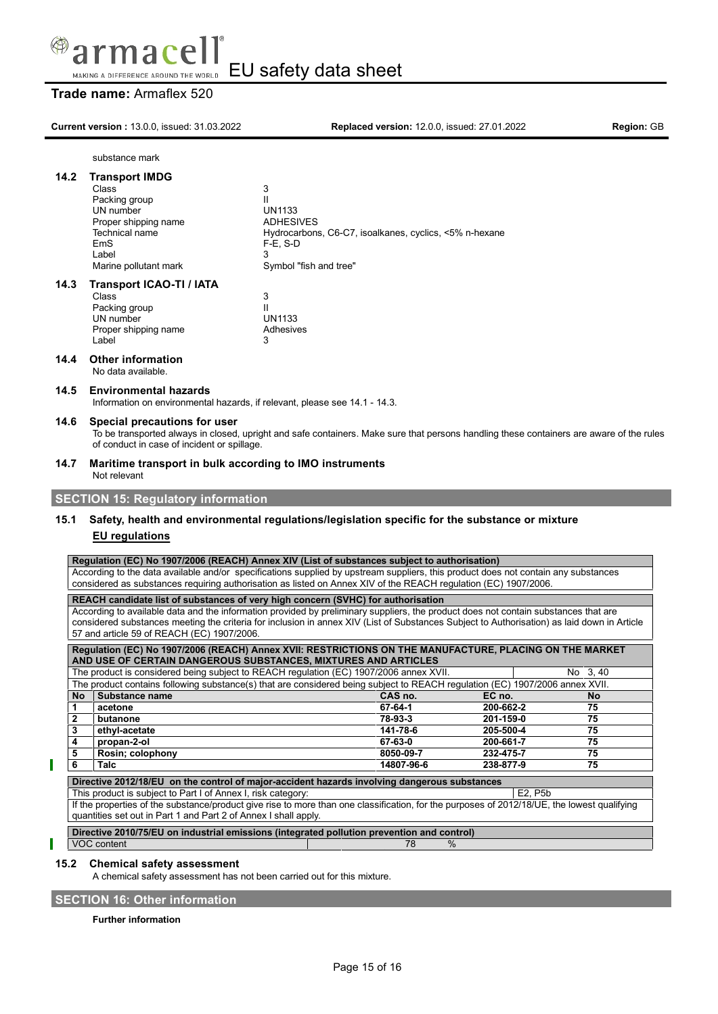

## **Trade name:** Armaflex 520

**Current version :** 13.0.0, issued: 31.03.2022 **Replaced version:** 12.0.0, issued: 27.01.2022 **Region:** GB

substance mark

## **14.2 Transport IMDG**

| Class                 | 3                                                      |
|-----------------------|--------------------------------------------------------|
| Packing group         | Ш                                                      |
| UN number             | <b>UN1133</b>                                          |
| Proper shipping name  | <b>ADHESIVES</b>                                       |
| Technical name        | Hydrocarbons, C6-C7, isoalkanes, cyclics, <5% n-hexane |
| EmS                   | $F-E. S-D$                                             |
| Label                 |                                                        |
| Marine pollutant mark | Symbol "fish and tree"                                 |
|                       |                                                        |

### **14.3 Transport ICAO-TI / IATA**

| Class                | 3             |
|----------------------|---------------|
| Packing group        | Ш             |
| UN number            | <b>UN1133</b> |
| Proper shipping name | Adhesives     |
| I abel               | з             |
|                      |               |

## **14.4 Other information**

No data available.

### **14.5 Environmental hazards**

Information on environmental hazards, if relevant, please see 14.1 - 14.3.

### **14.6 Special precautions for user**

To be transported always in closed, upright and safe containers. Make sure that persons handling these containers are aware of the rules of conduct in case of incident or spillage.

## **14.7 Maritime transport in bulk according to IMO instruments**

# Not relevant

## **SECTION 15: Regulatory information**

## **15.1 Safety, health and environmental regulations/legislation specific for the substance or mixture EU regulations**

## **Regulation (EC) No 1907/2006 (REACH) Annex XIV (List of substances subject to authorisation)**

According to the data available and/or specifications supplied by upstream suppliers, this product does not contain any substances considered as substances requiring authorisation as listed on Annex XIV of the REACH regulation (EC) 1907/2006.

**REACH candidate list of substances of very high concern (SVHC) for authorisation** According to available data and the information provided by preliminary suppliers, the product does not contain substances that are considered substances meeting the criteria for inclusion in annex XIV (List of Substances Subject to Authorisation) as laid down in Article 57 and article 59 of REACH (EC) 1907/2006.

|              | Requiation (EC) No 1907/2006 (REACH) Annex XVII: RESTRICTIONS ON THE MANUFACTURE, PLACING ON THE MARKET                                     |            |           |                                   |  |  |  |
|--------------|---------------------------------------------------------------------------------------------------------------------------------------------|------------|-----------|-----------------------------------|--|--|--|
|              | AND USE OF CERTAIN DANGEROUS SUBSTANCES, MIXTURES AND ARTICLES                                                                              |            |           |                                   |  |  |  |
|              | The product is considered being subject to REACH regulation (EC) 1907/2006 annex XVII.<br>No 3.40                                           |            |           |                                   |  |  |  |
|              | The product contains following substance(s) that are considered being subject to REACH regulation (EC) 1907/2006 annex XVII.                |            |           |                                   |  |  |  |
| <b>No</b>    | Substance name                                                                                                                              | CAS no.    | EC no.    | <b>No</b>                         |  |  |  |
|              | acetone                                                                                                                                     | 67-64-1    | 200-662-2 | 75                                |  |  |  |
| $\mathbf{2}$ | butanone                                                                                                                                    | 78-93-3    | 201-159-0 | 75                                |  |  |  |
| 3            | ethyl-acetate                                                                                                                               | 141-78-6   | 205-500-4 | 75                                |  |  |  |
| 4            | propan-2-ol                                                                                                                                 | 67-63-0    | 200-661-7 | 75                                |  |  |  |
| 5            | Rosin; colophony                                                                                                                            | 8050-09-7  | 232-475-7 | 75                                |  |  |  |
| 6            | Talc                                                                                                                                        | 14807-96-6 | 238-877-9 | 75                                |  |  |  |
|              | Directive 2012/18/EU on the control of major-accident hazards involving dangerous substances                                                |            |           |                                   |  |  |  |
|              | This product is subject to Part I of Annex I, risk category:                                                                                |            |           | E <sub>2</sub> . P <sub>5</sub> b |  |  |  |
|              | If the properties of the substance/product give rise to more than one classification, for the purposes of 2012/18/UE, the lowest qualifying |            |           |                                   |  |  |  |
|              | quantities set out in Part 1 and Part 2 of Annex I shall apply.                                                                             |            |           |                                   |  |  |  |
|              | Directive 2010/75/EU on industrial emissions (integrated pollution prevention and control)                                                  |            |           |                                   |  |  |  |
|              | VOC content                                                                                                                                 | $\%$<br>78 |           |                                   |  |  |  |

## **15.2 Chemical safety assessment**

A chemical safety assessment has not been carried out for this mixture.

## **SECTION 16: Other information**

**Further information**